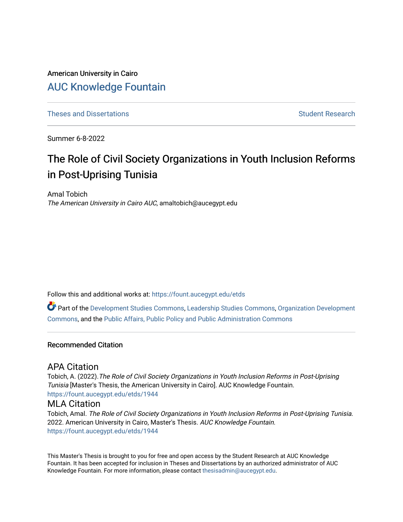## American University in Cairo [AUC Knowledge Fountain](https://fount.aucegypt.edu/)

[Theses and Dissertations](https://fount.aucegypt.edu/etds) [Student Research](https://fount.aucegypt.edu/student_research) Student Research

Summer 6-8-2022

# The Role of Civil Society Organizations in Youth Inclusion Reforms in Post-Uprising Tunisia

Amal Tobich The American University in Cairo AUC, amaltobich@aucegypt.edu

Follow this and additional works at: [https://fount.aucegypt.edu/etds](https://fount.aucegypt.edu/etds?utm_source=fount.aucegypt.edu%2Fetds%2F1944&utm_medium=PDF&utm_campaign=PDFCoverPages) 

Part of the [Development Studies Commons,](https://network.bepress.com/hgg/discipline/1422?utm_source=fount.aucegypt.edu%2Fetds%2F1944&utm_medium=PDF&utm_campaign=PDFCoverPages) [Leadership Studies Commons,](https://network.bepress.com/hgg/discipline/1250?utm_source=fount.aucegypt.edu%2Fetds%2F1944&utm_medium=PDF&utm_campaign=PDFCoverPages) [Organization Development](https://network.bepress.com/hgg/discipline/1242?utm_source=fount.aucegypt.edu%2Fetds%2F1944&utm_medium=PDF&utm_campaign=PDFCoverPages)  [Commons](https://network.bepress.com/hgg/discipline/1242?utm_source=fount.aucegypt.edu%2Fetds%2F1944&utm_medium=PDF&utm_campaign=PDFCoverPages), and the [Public Affairs, Public Policy and Public Administration Commons](https://network.bepress.com/hgg/discipline/393?utm_source=fount.aucegypt.edu%2Fetds%2F1944&utm_medium=PDF&utm_campaign=PDFCoverPages) 

#### Recommended Citation

### APA Citation

Tobich, A. (2022).The Role of Civil Society Organizations in Youth Inclusion Reforms in Post-Uprising Tunisia [Master's Thesis, the American University in Cairo]. AUC Knowledge Fountain. [https://fount.aucegypt.edu/etds/1944](https://fount.aucegypt.edu/etds/1944?utm_source=fount.aucegypt.edu%2Fetds%2F1944&utm_medium=PDF&utm_campaign=PDFCoverPages)

### MLA Citation

Tobich, Amal. The Role of Civil Society Organizations in Youth Inclusion Reforms in Post-Uprising Tunisia. 2022. American University in Cairo, Master's Thesis. AUC Knowledge Fountain. [https://fount.aucegypt.edu/etds/1944](https://fount.aucegypt.edu/etds/1944?utm_source=fount.aucegypt.edu%2Fetds%2F1944&utm_medium=PDF&utm_campaign=PDFCoverPages)

This Master's Thesis is brought to you for free and open access by the Student Research at AUC Knowledge Fountain. It has been accepted for inclusion in Theses and Dissertations by an authorized administrator of AUC Knowledge Fountain. For more information, please contact [thesisadmin@aucegypt.edu.](mailto:thesisadmin@aucegypt.edu)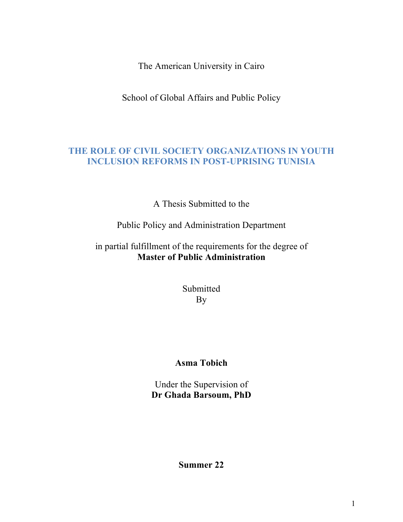The American University in Cairo

School of Global Affairs and Public Policy

### **THE ROLE OF CIVIL SOCIETY ORGANIZATIONS IN YOUTH INCLUSION REFORMS IN POST-UPRISING TUNISIA**

A Thesis Submitted to the

Public Policy and Administration Department

### in partial fulfillment of the requirements for the degree of **Master of Public Administration**

Submitted By

## **Asma Tobich**

Under the Supervision of **Dr Ghada Barsoum, PhD**

**Summer 22**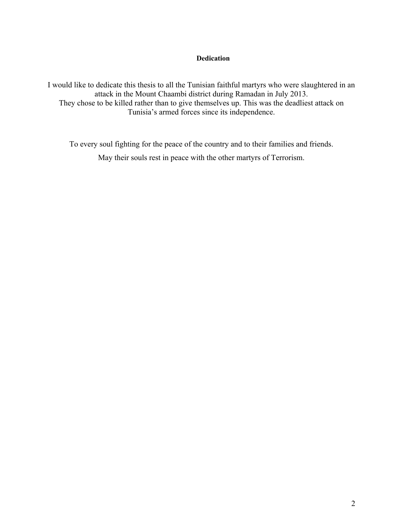#### **Dedication**

I would like to dedicate this thesis to all the Tunisian faithful martyrs who were slaughtered in an attack in the Mount Chaambi district during Ramadan in July 2013. They chose to be killed rather than to give themselves up. This was the deadliest attack on Tunisia's armed forces since its independence.

To every soul fighting for the peace of the country and to their families and friends. May their souls rest in peace with the other martyrs of Terrorism.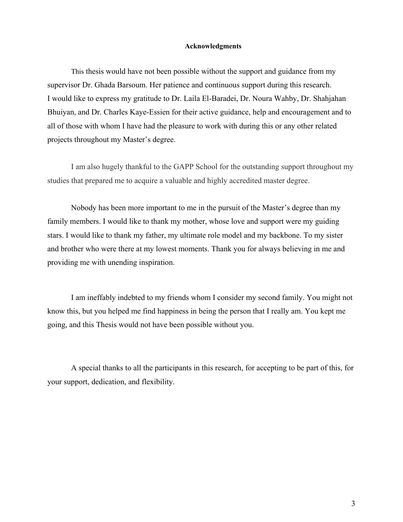#### **Acknowledgments**

This thesis would have not been possible without the support and guidance from my supervisor Dr. Ghada Barsoum. Her patience and continuous support during this research. I would like to express my gratitude to Dr. Laila El-Baradei, Dr. Noura Wahby, Dr. Shahjahan Bhuiyan, and Dr. Charles Kaye-Essien for their active guidance, help and encouragement and to all of those with whom I have had the pleasure to work with during this or any other related projects throughout my Master's degree.

I am also hugely thankful to the GAPP School for the outstanding support throughout my studies that prepared me to acquire a valuable and highly accredited master degree.

Nobody has been more important to me in the pursuit of the Master's degree than my family members. I would like to thank my mother, whose love and support were my guiding stars. I would like to thank my father, my ultimate role model and my backbone. To my sister and brother who were there at my lowest moments. Thank you for always believing in me and providing me with unending inspiration.

I am ineffably indebted to my friends whom I consider my second family. You might not know this, but you helped me find happiness in being the person that I really am. You kept me going, and this Thesis would not have been possible without you.

A special thanks to all the participants in this research, for accepting to be part of this, for your support, dedication, and flexibility.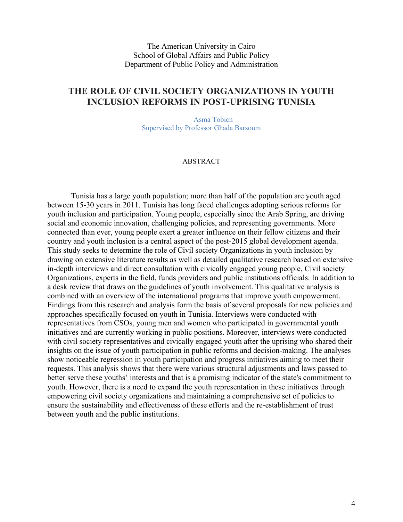The American University in Cairo School of Global Affairs and Public Policy Department of Public Policy and Administration

### **THE ROLE OF CIVIL SOCIETY ORGANIZATIONS IN YOUTH INCLUSION REFORMS IN POST-UPRISING TUNISIA**

Asma Tobich Supervised by Professor Ghada Barsoum

#### ABSTRACT

Tunisia has a large youth population; more than half of the population are youth aged between 15-30 years in 2011. Tunisia has long faced challenges adopting serious reforms for youth inclusion and participation. Young people, especially since the Arab Spring, are driving social and economic innovation, challenging policies, and representing governments. More connected than ever, young people exert a greater influence on their fellow citizens and their country and youth inclusion is a central aspect of the post-2015 global development agenda. This study seeks to determine the role of Civil society Organizations in youth inclusion by drawing on extensive literature results as well as detailed qualitative research based on extensive in-depth interviews and direct consultation with civically engaged young people, Civil society Organizations, experts in the field, funds providers and public institutions officials. In addition to a desk review that draws on the guidelines of youth involvement. This qualitative analysis is combined with an overview of the international programs that improve youth empowerment. Findings from this research and analysis form the basis of several proposals for new policies and approaches specifically focused on youth in Tunisia. Interviews were conducted with representatives from CSOs, young men and women who participated in governmental youth initiatives and are currently working in public positions. Moreover, interviews were conducted with civil society representatives and civically engaged youth after the uprising who shared their insights on the issue of youth participation in public reforms and decision-making. The analyses show noticeable regression in youth participation and progress initiatives aiming to meet their requests. This analysis shows that there were various structural adjustments and laws passed to better serve these youths' interests and that is a promising indicator of the state's commitment to youth. However, there is a need to expand the youth representation in these initiatives through empowering civil society organizations and maintaining a comprehensive set of policies to ensure the sustainability and effectiveness of these efforts and the re-establishment of trust between youth and the public institutions.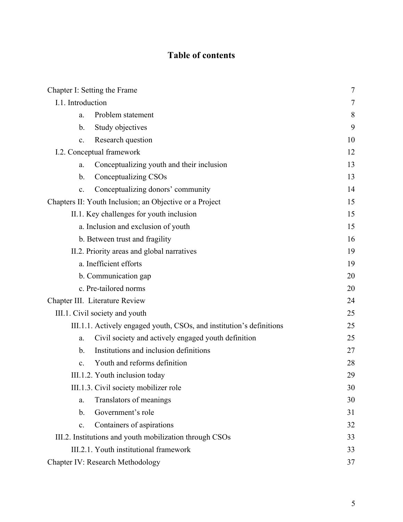## **Table of contents**

| Chapter I: Setting the Frame                                         |    |
|----------------------------------------------------------------------|----|
| I.1. Introduction                                                    |    |
| Problem statement<br>a.                                              | 8  |
| Study objectives<br>b.                                               | 9  |
| Research question<br>$\mathbf{c}$ .                                  | 10 |
| I.2. Conceptual framework                                            |    |
| Conceptualizing youth and their inclusion<br>a.                      | 13 |
| Conceptualizing CSOs<br>b.                                           | 13 |
| Conceptualizing donors' community<br>c.                              | 14 |
| Chapters II: Youth Inclusion; an Objective or a Project              | 15 |
| II.1. Key challenges for youth inclusion                             |    |
| a. Inclusion and exclusion of youth                                  | 15 |
| b. Between trust and fragility                                       | 16 |
| II.2. Priority areas and global narratives                           |    |
| a. Inefficient efforts                                               |    |
| b. Communication gap                                                 |    |
| c. Pre-tailored norms                                                |    |
| Chapter III. Literature Review                                       | 24 |
| III.1. Civil society and youth                                       |    |
| III.1.1. Actively engaged youth, CSOs, and institution's definitions | 25 |
| Civil society and actively engaged youth definition<br>a.            | 25 |
| Institutions and inclusion definitions<br>b.                         | 27 |
| Youth and reforms definition<br>$\mathbf{c}$ .                       | 28 |
| III.1.2. Youth inclusion today                                       | 29 |
| III.1.3. Civil society mobilizer role                                | 30 |
| Translators of meanings<br>a.                                        | 30 |
| Government's role<br>$\mathbf b$ .                                   | 31 |
| Containers of aspirations<br>c.                                      | 32 |
| III.2. Institutions and youth mobilization through CSOs              |    |
| III.2.1. Youth institutional framework                               |    |
| Chapter IV: Research Methodology                                     |    |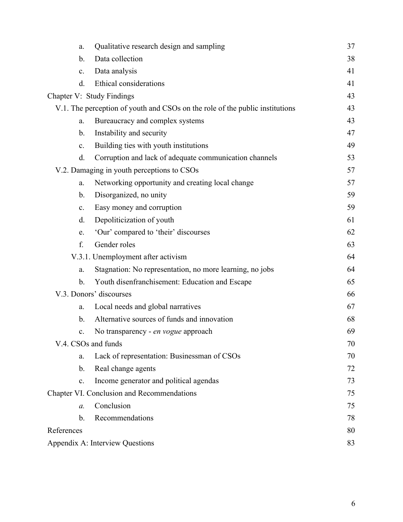| a.                        | Qualitative research design and sampling                                     | 37 |
|---------------------------|------------------------------------------------------------------------------|----|
| b.                        | Data collection                                                              | 38 |
| c.                        | Data analysis                                                                | 41 |
| d.                        | <b>Ethical considerations</b>                                                | 41 |
| Chapter V: Study Findings |                                                                              | 43 |
|                           | V.1. The perception of youth and CSOs on the role of the public institutions | 43 |
| a.                        | Bureaucracy and complex systems                                              | 43 |
| b.                        | Instability and security                                                     | 47 |
| c.                        | Building ties with youth institutions                                        | 49 |
| d.                        | Corruption and lack of adequate communication channels                       | 53 |
|                           | V.2. Damaging in youth perceptions to CSOs                                   | 57 |
| a.                        | Networking opportunity and creating local change                             | 57 |
| b.                        | Disorganized, no unity                                                       | 59 |
| c.                        | Easy money and corruption                                                    | 59 |
| d.                        | Depoliticization of youth                                                    | 61 |
| e.                        | 'Our' compared to 'their' discourses                                         | 62 |
| f.                        | Gender roles                                                                 | 63 |
|                           | V.3.1. Unemployment after activism                                           | 64 |
| a.                        | Stagnation: No representation, no more learning, no jobs                     | 64 |
| $\mathbf b$ .             | Youth disenfranchisement: Education and Escape                               | 65 |
| V.3. Donors' discourses   |                                                                              | 66 |
| a.                        | Local needs and global narratives                                            | 67 |
| b.                        | Alternative sources of funds and innovation                                  | 68 |
| c.                        | No transparency - en vogue approach                                          | 69 |
| V.4. CSOs and funds       |                                                                              | 70 |
| a.                        | Lack of representation: Businessman of CSOs                                  | 70 |
| b.                        | Real change agents                                                           | 72 |
| c.                        | Income generator and political agendas                                       | 73 |
|                           | Chapter VI. Conclusion and Recommendations                                   | 75 |
| a.                        | Conclusion                                                                   | 75 |
| $\mathbf{b}$ .            | Recommendations                                                              | 78 |
| References                |                                                                              |    |
|                           | Appendix A: Interview Questions                                              | 83 |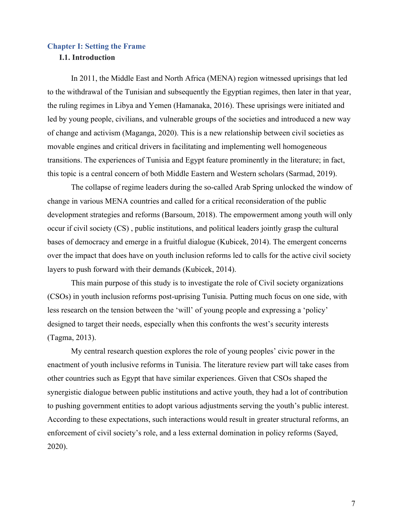#### **Chapter I: Setting the Frame**

#### **I.1. Introduction**

In 2011, the Middle East and North Africa (MENA) region witnessed uprisings that led to the withdrawal of the Tunisian and subsequently the Egyptian regimes, then later in that year, the ruling regimes in Libya and Yemen (Hamanaka, 2016). These uprisings were initiated and led by young people, civilians, and vulnerable groups of the societies and introduced a new way of change and activism (Maganga, 2020). This is a new relationship between civil societies as movable engines and critical drivers in facilitating and implementing well homogeneous transitions. The experiences of Tunisia and Egypt feature prominently in the literature; in fact, this topic is a central concern of both Middle Eastern and Western scholars (Sarmad, 2019).

The collapse of regime leaders during the so-called Arab Spring unlocked the window of change in various MENA countries and called for a critical reconsideration of the public development strategies and reforms (Barsoum, 2018). The empowerment among youth will only occur if civil society (CS) , public institutions, and political leaders jointly grasp the cultural bases of democracy and emerge in a fruitful dialogue (Kubicek, 2014). The emergent concerns over the impact that does have on youth inclusion reforms led to calls for the active civil society layers to push forward with their demands (Kubicek, 2014).

This main purpose of this study is to investigate the role of Civil society organizations (CSOs) in youth inclusion reforms post-uprising Tunisia. Putting much focus on one side, with less research on the tension between the 'will' of young people and expressing a 'policy' designed to target their needs, especially when this confronts the west's security interests (Tagma, 2013).

My central research question explores the role of young peoples' civic power in the enactment of youth inclusive reforms in Tunisia. The literature review part will take cases from other countries such as Egypt that have similar experiences. Given that CSOs shaped the synergistic dialogue between public institutions and active youth, they had a lot of contribution to pushing government entities to adopt various adjustments serving the youth's public interest. According to these expectations, such interactions would result in greater structural reforms, an enforcement of civil society's role, and a less external domination in policy reforms (Sayed, 2020).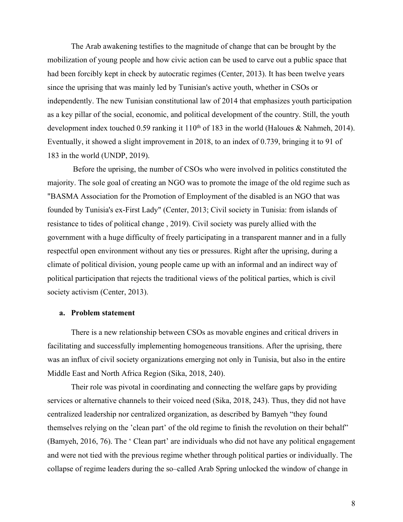The Arab awakening testifies to the magnitude of change that can be brought by the mobilization of young people and how civic action can be used to carve out a public space that had been forcibly kept in check by autocratic regimes (Center, 2013). It has been twelve years since the uprising that was mainly led by Tunisian's active youth, whether in CSOs or independently. The new Tunisian constitutional law of 2014 that emphasizes youth participation as a key pillar of the social, economic, and political development of the country. Still, the youth development index touched 0.59 ranking it  $110^{th}$  of 183 in the world (Haloues & Nahmeh, 2014). Eventually, it showed a slight improvement in 2018, to an index of 0.739, bringing it to 91 of 183 in the world (UNDP, 2019).

Before the uprising, the number of CSOs who were involved in politics constituted the majority. The sole goal of creating an NGO was to promote the image of the old regime such as "BASMA Association for the Promotion of Employment of the disabled is an NGO that was founded by Tunisia's ex-First Lady" (Center, 2013; Civil society in Tunisia: from islands of resistance to tides of political change , 2019). Civil society was purely allied with the government with a huge difficulty of freely participating in a transparent manner and in a fully respectful open environment without any ties or pressures. Right after the uprising, during a climate of political division, young people came up with an informal and an indirect way of political participation that rejects the traditional views of the political parties, which is civil society activism (Center, 2013).

#### **a. Problem statement**

There is a new relationship between CSOs as movable engines and critical drivers in facilitating and successfully implementing homogeneous transitions. After the uprising, there was an influx of civil society organizations emerging not only in Tunisia, but also in the entire Middle East and North Africa Region (Sika, 2018, 240).

Their role was pivotal in coordinating and connecting the welfare gaps by providing services or alternative channels to their voiced need (Sika, 2018, 243). Thus, they did not have centralized leadership nor centralized organization, as described by Bamyeh "they found themselves relying on the 'clean part' of the old regime to finish the revolution on their behalf" (Bamyeh, 2016, 76). The ' Clean part' are individuals who did not have any political engagement and were not tied with the previous regime whether through political parties or individually. The collapse of regime leaders during the so–called Arab Spring unlocked the window of change in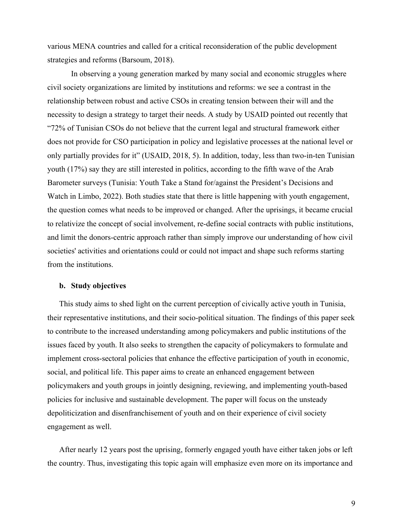various MENA countries and called for a critical reconsideration of the public development strategies and reforms (Barsoum, 2018).

In observing a young generation marked by many social and economic struggles where civil society organizations are limited by institutions and reforms: we see a contrast in the relationship between robust and active CSOs in creating tension between their will and the necessity to design a strategy to target their needs. A study by USAID pointed out recently that "72% of Tunisian CSOs do not believe that the current legal and structural framework either does not provide for CSO participation in policy and legislative processes at the national level or only partially provides for it" (USAID, 2018, 5). In addition, today, less than two-in-ten Tunisian youth (17%) say they are still interested in politics, according to the fifth wave of the Arab Barometer surveys (Tunisia: Youth Take a Stand for/against the President's Decisions and Watch in Limbo, 2022). Both studies state that there is little happening with youth engagement, the question comes what needs to be improved or changed. After the uprisings, it became crucial to relativize the concept of social involvement, re-define social contracts with public institutions, and limit the donors-centric approach rather than simply improve our understanding of how civil societies' activities and orientations could or could not impact and shape such reforms starting from the institutions.

#### **b. Study objectives**

This study aims to shed light on the current perception of civically active youth in Tunisia, their representative institutions, and their socio-political situation. The findings of this paper seek to contribute to the increased understanding among policymakers and public institutions of the issues faced by youth. It also seeks to strengthen the capacity of policymakers to formulate and implement cross-sectoral policies that enhance the effective participation of youth in economic, social, and political life. This paper aims to create an enhanced engagement between policymakers and youth groups in jointly designing, reviewing, and implementing youth-based policies for inclusive and sustainable development. The paper will focus on the unsteady depoliticization and disenfranchisement of youth and on their experience of civil society engagement as well.

After nearly 12 years post the uprising, formerly engaged youth have either taken jobs or left the country. Thus, investigating this topic again will emphasize even more on its importance and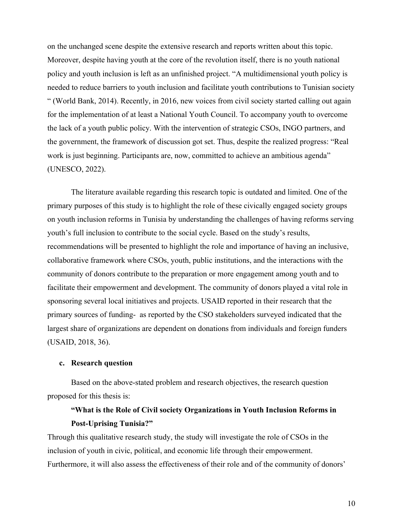on the unchanged scene despite the extensive research and reports written about this topic. Moreover, despite having youth at the core of the revolution itself, there is no youth national policy and youth inclusion is left as an unfinished project. "A multidimensional youth policy is needed to reduce barriers to youth inclusion and facilitate youth contributions to Tunisian society " (World Bank, 2014). Recently, in 2016, new voices from civil society started calling out again for the implementation of at least a National Youth Council. To accompany youth to overcome the lack of a youth public policy. With the intervention of strategic CSOs, INGO partners, and the government, the framework of discussion got set. Thus, despite the realized progress: "Real work is just beginning. Participants are, now, committed to achieve an ambitious agenda" (UNESCO, 2022).

The literature available regarding this research topic is outdated and limited. One of the primary purposes of this study is to highlight the role of these civically engaged society groups on youth inclusion reforms in Tunisia by understanding the challenges of having reforms serving youth's full inclusion to contribute to the social cycle. Based on the study's results, recommendations will be presented to highlight the role and importance of having an inclusive, collaborative framework where CSOs, youth, public institutions, and the interactions with the community of donors contribute to the preparation or more engagement among youth and to facilitate their empowerment and development. The community of donors played a vital role in sponsoring several local initiatives and projects. USAID reported in their research that the primary sources of funding- as reported by the CSO stakeholders surveyed indicated that the largest share of organizations are dependent on donations from individuals and foreign funders (USAID, 2018, 36).

#### **c. Research question**

Based on the above-stated problem and research objectives, the research question proposed for this thesis is:

### **"What is the Role of Civil society Organizations in Youth Inclusion Reforms in Post-Uprising Tunisia?"**

Through this qualitative research study, the study will investigate the role of CSOs in the inclusion of youth in civic, political, and economic life through their empowerment. Furthermore, it will also assess the effectiveness of their role and of the community of donors'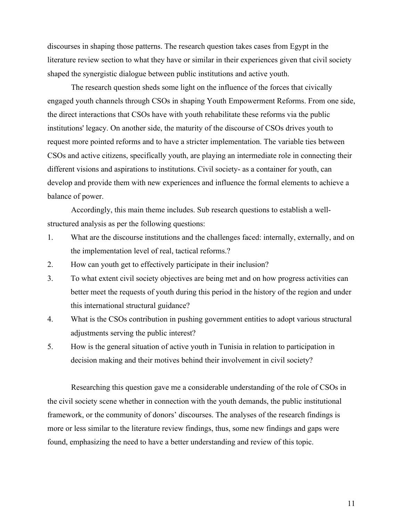discourses in shaping those patterns. The research question takes cases from Egypt in the literature review section to what they have or similar in their experiences given that civil society shaped the synergistic dialogue between public institutions and active youth.

The research question sheds some light on the influence of the forces that civically engaged youth channels through CSOs in shaping Youth Empowerment Reforms. From one side, the direct interactions that CSOs have with youth rehabilitate these reforms via the public institutions' legacy. On another side, the maturity of the discourse of CSOs drives youth to request more pointed reforms and to have a stricter implementation. The variable ties between CSOs and active citizens, specifically youth, are playing an intermediate role in connecting their different visions and aspirations to institutions. Civil society- as a container for youth, can develop and provide them with new experiences and influence the formal elements to achieve a balance of power.

Accordingly, this main theme includes. Sub research questions to establish a wellstructured analysis as per the following questions:

- 1. What are the discourse institutions and the challenges faced: internally, externally, and on the implementation level of real, tactical reforms.?
- 2. How can youth get to effectively participate in their inclusion?
- 3. To what extent civil society objectives are being met and on how progress activities can better meet the requests of youth during this period in the history of the region and under this international structural guidance?
- 4. What is the CSOs contribution in pushing government entities to adopt various structural adjustments serving the public interest?
- 5. How is the general situation of active youth in Tunisia in relation to participation in decision making and their motives behind their involvement in civil society?

Researching this question gave me a considerable understanding of the role of CSOs in the civil society scene whether in connection with the youth demands, the public institutional framework, or the community of donors' discourses. The analyses of the research findings is more or less similar to the literature review findings, thus, some new findings and gaps were found, emphasizing the need to have a better understanding and review of this topic.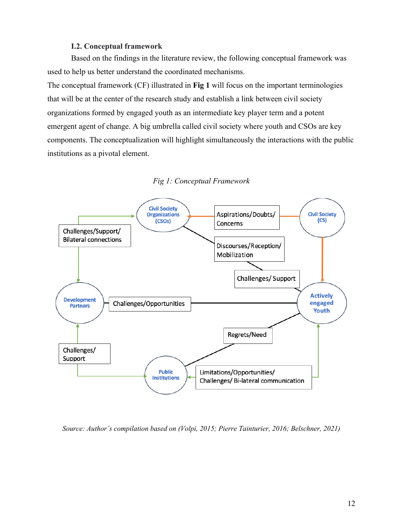#### **I.2. Conceptual framework**

Based on the findings in the literature review, the following conceptual framework was used to help us better understand the coordinated mechanisms.

The conceptual framework (CF) illustrated in **Fig 1** will focus on the important terminologies that will be at the center of the research study and establish a link between civil society organizations formed by engaged youth as an intermediate key player term and a potent emergent agent of change. A big umbrella called civil society where youth and CSOs are key components. The conceptualization will highlight simultaneously the interactions with the public institutions as a pivotal element.





*Source: Author's compilation based on (Volpi, 2015; Pierre Tainturier, 2016; Belschner, 2021)*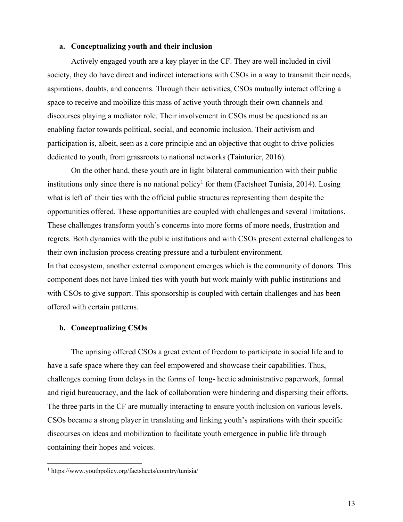#### **a. Conceptualizing youth and their inclusion**

Actively engaged youth are a key player in the CF. They are well included in civil society, they do have direct and indirect interactions with CSOs in a way to transmit their needs, aspirations, doubts, and concerns. Through their activities, CSOs mutually interact offering a space to receive and mobilize this mass of active youth through their own channels and discourses playing a mediator role. Their involvement in CSOs must be questioned as an enabling factor towards political, social, and economic inclusion. Their activism and participation is, albeit, seen as a core principle and an objective that ought to drive policies dedicated to youth, from grassroots to national networks (Tainturier, 2016).

On the other hand, these youth are in light bilateral communication with their public institutions only since there is no national policy<sup>1</sup> for them (Factsheet Tunisia, 2014). Losing what is left of their ties with the official public structures representing them despite the opportunities offered. These opportunities are coupled with challenges and several limitations. These challenges transform youth's concerns into more forms of more needs, frustration and regrets. Both dynamics with the public institutions and with CSOs present external challenges to their own inclusion process creating pressure and a turbulent environment. In that ecosystem, another external component emerges which is the community of donors. This component does not have linked ties with youth but work mainly with public institutions and with CSOs to give support. This sponsorship is coupled with certain challenges and has been offered with certain patterns.

#### **b. Conceptualizing CSOs**

The uprising offered CSOs a great extent of freedom to participate in social life and to have a safe space where they can feel empowered and showcase their capabilities. Thus, challenges coming from delays in the forms of long- hectic administrative paperwork, formal and rigid bureaucracy, and the lack of collaboration were hindering and dispersing their efforts. The three parts in the CF are mutually interacting to ensure youth inclusion on various levels. CSOs became a strong player in translating and linking youth's aspirations with their specific discourses on ideas and mobilization to facilitate youth emergence in public life through containing their hopes and voices.

<sup>1</sup> https://www.youthpolicy.org/factsheets/country/tunisia/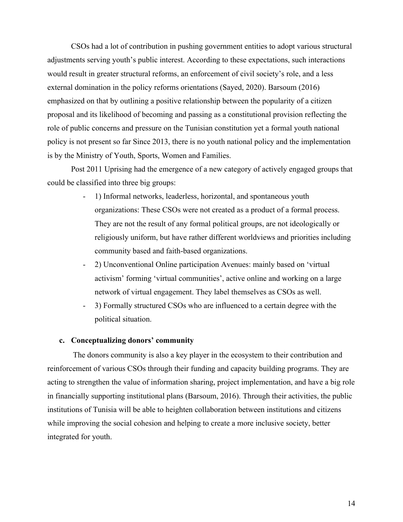CSOs had a lot of contribution in pushing government entities to adopt various structural adjustments serving youth's public interest. According to these expectations, such interactions would result in greater structural reforms, an enforcement of civil society's role, and a less external domination in the policy reforms orientations (Sayed, 2020). Barsoum (2016) emphasized on that by outlining a positive relationship between the popularity of a citizen proposal and its likelihood of becoming and passing as a constitutional provision reflecting the role of public concerns and pressure on the Tunisian constitution yet a formal youth national policy is not present so far Since 2013, there is no youth national policy and the implementation is by the Ministry of Youth, Sports, Women and Families.

Post 2011 Uprising had the emergence of a new category of actively engaged groups that could be classified into three big groups:

- 1) Informal networks, leaderless, horizontal, and spontaneous youth organizations: These CSOs were not created as a product of a formal process. They are not the result of any formal political groups, are not ideologically or religiously uniform, but have rather different worldviews and priorities including community based and faith-based organizations.
- 2) Unconventional Online participation Avenues: mainly based on 'virtual activism' forming 'virtual communities', active online and working on a large network of virtual engagement. They label themselves as CSOs as well.
- 3) Formally structured CSOs who are influenced to a certain degree with the political situation.

#### **c. Conceptualizing donors' community**

The donors community is also a key player in the ecosystem to their contribution and reinforcement of various CSOs through their funding and capacity building programs. They are acting to strengthen the value of information sharing, project implementation, and have a big role in financially supporting institutional plans (Barsoum, 2016). Through their activities, the public institutions of Tunisia will be able to heighten collaboration between institutions and citizens while improving the social cohesion and helping to create a more inclusive society, better integrated for youth.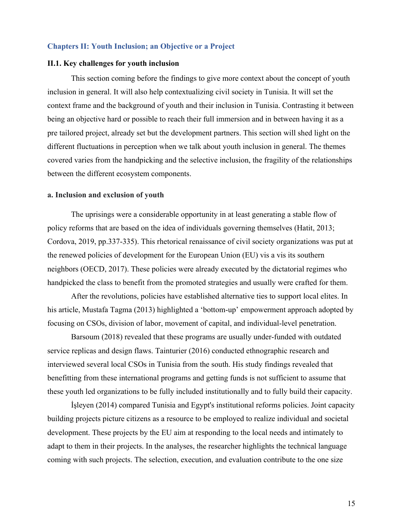#### **Chapters II: Youth Inclusion; an Objective or a Project**

#### **II.1. Key challenges for youth inclusion**

This section coming before the findings to give more context about the concept of youth inclusion in general. It will also help contextualizing civil society in Tunisia. It will set the context frame and the background of youth and their inclusion in Tunisia. Contrasting it between being an objective hard or possible to reach their full immersion and in between having it as a pre tailored project, already set but the development partners. This section will shed light on the different fluctuations in perception when we talk about youth inclusion in general. The themes covered varies from the handpicking and the selective inclusion, the fragility of the relationships between the different ecosystem components.

#### **a. Inclusion and exclusion of youth**

The uprisings were a considerable opportunity in at least generating a stable flow of policy reforms that are based on the idea of individuals governing themselves (Hatit, 2013; Cordova, 2019, pp.337-335). This rhetorical renaissance of civil society organizations was put at the renewed policies of development for the European Union (EU) vis a vis its southern neighbors (OECD, 2017). These policies were already executed by the dictatorial regimes who handpicked the class to benefit from the promoted strategies and usually were crafted for them.

After the revolutions, policies have established alternative ties to support local elites. In his article, Mustafa Tagma (2013) highlighted a 'bottom-up' empowerment approach adopted by focusing on CSOs, division of labor, movement of capital, and individual-level penetration.

Barsoum (2018) revealed that these programs are usually under-funded with outdated service replicas and design flaws. Tainturier (2016) conducted ethnographic research and interviewed several local CSOs in Tunisia from the south. His study findings revealed that benefitting from these international programs and getting funds is not sufficient to assume that these youth led organizations to be fully included institutionally and to fully build their capacity.

İşleyen (2014) compared Tunisia and Egypt's institutional reforms policies. Joint capacity building projects picture citizens as a resource to be employed to realize individual and societal development. These projects by the EU aim at responding to the local needs and intimately to adapt to them in their projects. In the analyses, the researcher highlights the technical language coming with such projects. The selection, execution, and evaluation contribute to the one size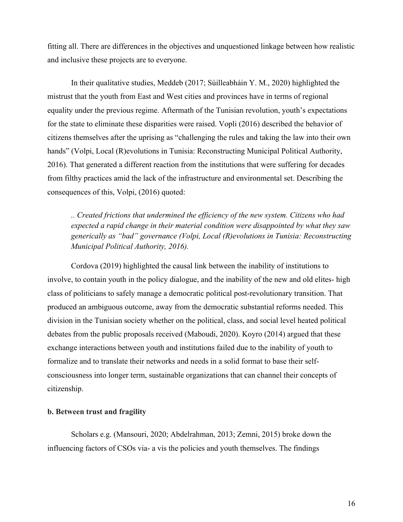fitting all. There are differences in the objectives and unquestioned linkage between how realistic and inclusive these projects are to everyone.

In their qualitative studies, Meddeb (2017; Súilleabháin Y. M., 2020) highlighted the mistrust that the youth from East and West cities and provinces have in terms of regional equality under the previous regime. Aftermath of the Tunisian revolution, youth's expectations for the state to eliminate these disparities were raised. Vopli (2016) described the behavior of citizens themselves after the uprising as "challenging the rules and taking the law into their own hands" (Volpi, Local (R)evolutions in Tunisia: Reconstructing Municipal Political Authority, 2016). That generated a different reaction from the institutions that were suffering for decades from filthy practices amid the lack of the infrastructure and environmental set. Describing the consequences of this, Volpi, (2016) quoted:

*.. Created frictions that undermined the efficiency of the new system. Citizens who had expected a rapid change in their material condition were disappointed by what they saw generically as "bad" governance (Volpi, Local (R)evolutions in Tunisia: Reconstructing Municipal Political Authority, 2016).*

Cordova (2019) highlighted the causal link between the inability of institutions to involve, to contain youth in the policy dialogue, and the inability of the new and old elites- high class of politicians to safely manage a democratic political post-revolutionary transition. That produced an ambiguous outcome, away from the democratic substantial reforms needed. This division in the Tunisian society whether on the political, class, and social level heated political debates from the public proposals received (Maboudi, 2020). Koyro (2014) argued that these exchange interactions between youth and institutions failed due to the inability of youth to formalize and to translate their networks and needs in a solid format to base their selfconsciousness into longer term, sustainable organizations that can channel their concepts of citizenship.

#### **b. Between trust and fragility**

Scholars e.g. (Mansouri, 2020; Abdelrahman, 2013; Zemni, 2015) broke down the influencing factors of CSOs via- a vis the policies and youth themselves. The findings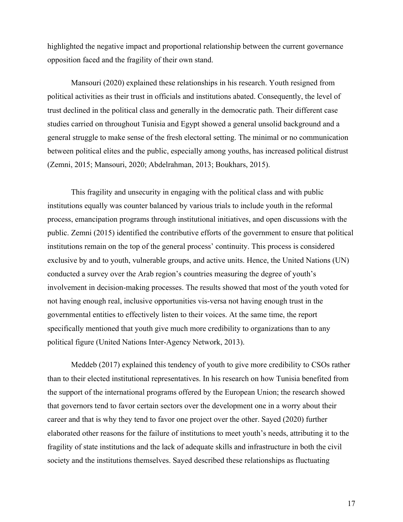highlighted the negative impact and proportional relationship between the current governance opposition faced and the fragility of their own stand.

Mansouri (2020) explained these relationships in his research. Youth resigned from political activities as their trust in officials and institutions abated. Consequently, the level of trust declined in the political class and generally in the democratic path. Their different case studies carried on throughout Tunisia and Egypt showed a general unsolid background and a general struggle to make sense of the fresh electoral setting. The minimal or no communication between political elites and the public, especially among youths, has increased political distrust (Zemni, 2015; Mansouri, 2020; Abdelrahman, 2013; Boukhars, 2015).

This fragility and unsecurity in engaging with the political class and with public institutions equally was counter balanced by various trials to include youth in the reformal process, emancipation programs through institutional initiatives, and open discussions with the public. Zemni (2015) identified the contributive efforts of the government to ensure that political institutions remain on the top of the general process' continuity. This process is considered exclusive by and to youth, vulnerable groups, and active units. Hence, the United Nations (UN) conducted a survey over the Arab region's countries measuring the degree of youth's involvement in decision-making processes. The results showed that most of the youth voted for not having enough real, inclusive opportunities vis-versa not having enough trust in the governmental entities to effectively listen to their voices. At the same time, the report specifically mentioned that youth give much more credibility to organizations than to any political figure (United Nations Inter-Agency Network, 2013).

Meddeb (2017) explained this tendency of youth to give more credibility to CSOs rather than to their elected institutional representatives. In his research on how Tunisia benefited from the support of the international programs offered by the European Union; the research showed that governors tend to favor certain sectors over the development one in a worry about their career and that is why they tend to favor one project over the other. Sayed (2020) further elaborated other reasons for the failure of institutions to meet youth's needs, attributing it to the fragility of state institutions and the lack of adequate skills and infrastructure in both the civil society and the institutions themselves. Sayed described these relationships as fluctuating

17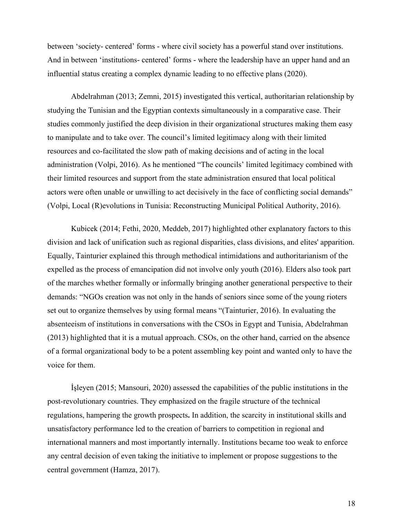between 'society- centered' forms - where civil society has a powerful stand over institutions. And in between 'institutions- centered' forms - where the leadership have an upper hand and an influential status creating a complex dynamic leading to no effective plans (2020).

Abdelrahman (2013; Zemni, 2015) investigated this vertical, authoritarian relationship by studying the Tunisian and the Egyptian contexts simultaneously in a comparative case. Their studies commonly justified the deep division in their organizational structures making them easy to manipulate and to take over. The council's limited legitimacy along with their limited resources and co-facilitated the slow path of making decisions and of acting in the local administration (Volpi, 2016). As he mentioned "The councils' limited legitimacy combined with their limited resources and support from the state administration ensured that local political actors were often unable or unwilling to act decisively in the face of conflicting social demands" (Volpi, Local (R)evolutions in Tunisia: Reconstructing Municipal Political Authority, 2016).

Kubicek (2014; Fethi, 2020, Meddeb, 2017) highlighted other explanatory factors to this division and lack of unification such as regional disparities, class divisions, and elites' apparition. Equally, Tainturier explained this through methodical intimidations and authoritarianism of the expelled as the process of emancipation did not involve only youth (2016). Elders also took part of the marches whether formally or informally bringing another generational perspective to their demands: "NGOs creation was not only in the hands of seniors since some of the young rioters set out to organize themselves by using formal means "(Tainturier, 2016). In evaluating the absenteeism of institutions in conversations with the CSOs in Egypt and Tunisia, Abdelrahman (2013) highlighted that it is a mutual approach. CSOs, on the other hand, carried on the absence of a formal organizational body to be a potent assembling key point and wanted only to have the voice for them.

İşleyen (2015; Mansouri, 2020) assessed the capabilities of the public institutions in the post-revolutionary countries. They emphasized on the fragile structure of the technical regulations, hampering the growth prospects**.** In addition, the scarcity in institutional skills and unsatisfactory performance led to the creation of barriers to competition in regional and international manners and most importantly internally. Institutions became too weak to enforce any central decision of even taking the initiative to implement or propose suggestions to the central government (Hamza, 2017).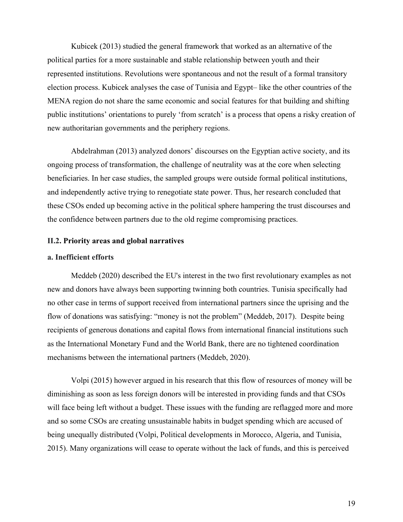Kubicek (2013) studied the general framework that worked as an alternative of the political parties for a more sustainable and stable relationship between youth and their represented institutions. Revolutions were spontaneous and not the result of a formal transitory election process. Kubicek analyses the case of Tunisia and Egypt– like the other countries of the MENA region do not share the same economic and social features for that building and shifting public institutions' orientations to purely 'from scratch' is a process that opens a risky creation of new authoritarian governments and the periphery regions.

Abdelrahman (2013) analyzed donors' discourses on the Egyptian active society, and its ongoing process of transformation, the challenge of neutrality was at the core when selecting beneficiaries. In her case studies, the sampled groups were outside formal political institutions, and independently active trying to renegotiate state power. Thus, her research concluded that these CSOs ended up becoming active in the political sphere hampering the trust discourses and the confidence between partners due to the old regime compromising practices.

#### **II.2. Priority areas and global narratives**

#### **a. Inefficient efforts**

Meddeb (2020) described the EU's interest in the two first revolutionary examples as not new and donors have always been supporting twinning both countries. Tunisia specifically had no other case in terms of support received from international partners since the uprising and the flow of donations was satisfying: "money is not the problem" (Meddeb, 2017). Despite being recipients of generous donations and capital flows from international financial institutions such as the International Monetary Fund and the World Bank, there are no tightened coordination mechanisms between the international partners (Meddeb, 2020).

Volpi (2015) however argued in his research that this flow of resources of money will be diminishing as soon as less foreign donors will be interested in providing funds and that CSOs will face being left without a budget. These issues with the funding are reflagged more and more and so some CSOs are creating unsustainable habits in budget spending which are accused of being unequally distributed (Volpi, Political developments in Morocco, Algeria, and Tunisia, 2015). Many organizations will cease to operate without the lack of funds, and this is perceived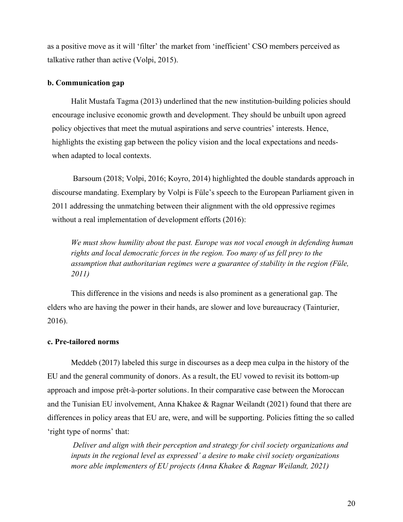as a positive move as it will 'filter' the market from 'inefficient' CSO members perceived as talkative rather than active (Volpi, 2015).

#### **b. Communication gap**

Halit Mustafa Tagma (2013) underlined that the new institution-building policies should encourage inclusive economic growth and development. They should be unbuilt upon agreed policy objectives that meet the mutual aspirations and serve countries' interests. Hence, highlights the existing gap between the policy vision and the local expectations and needswhen adapted to local contexts.

Barsoum (2018; Volpi, 2016; Koyro, 2014) highlighted the double standards approach in discourse mandating. Exemplary by Volpi is Füle's speech to the European Parliament given in 2011 addressing the unmatching between their alignment with the old oppressive regimes without a real implementation of development efforts (2016):

*We must show humility about the past. Europe was not vocal enough in defending human rights and local democratic forces in the region. Too many of us fell prey to the assumption that authoritarian regimes were a guarantee of stability in the region (Füle, 2011)*

This difference in the visions and needs is also prominent as a generational gap. The elders who are having the power in their hands, are slower and love bureaucracy (Tainturier, 2016).

#### **c. Pre-tailored norms**

Meddeb (2017) labeled this surge in discourses as a deep mea culpa in the history of the EU and the general community of donors. As a result, the EU vowed to revisit its bottom-up approach and impose prêt-à-porter solutions. In their comparative case between the Moroccan and the Tunisian EU involvement, Anna Khakee & Ragnar Weilandt (2021) found that there are differences in policy areas that EU are, were, and will be supporting. Policies fitting the so called 'right type of norms' that:

*Deliver and align with their perception and strategy for civil society organizations and inputs in the regional level as expressed' a desire to make civil society organizations more able implementers of EU projects (Anna Khakee & Ragnar Weilandt, 2021)*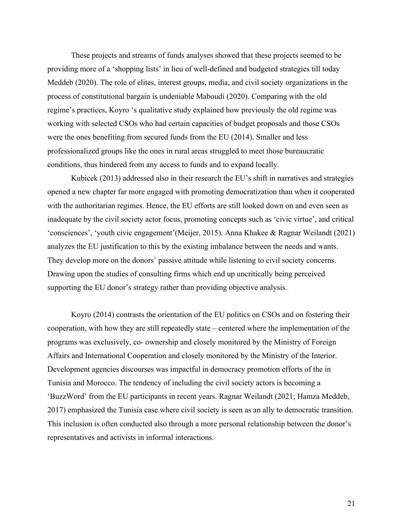These projects and streams of funds analyses showed that these projects seemed to be providing more of a 'shopping lists' in lieu of well-defined and budgeted strategies till today Meddeb (2020). The role of elites, interest groups, media, and civil society organizations in the process of constitutional bargain is undeniable Maboudi (2020). Comparing with the old regime's practices, Koyro 's qualitative study explained how previously the old regime was working with selected CSOs who had certain capacities of budget proposals and those CSOs were the ones benefiting from secured funds from the EU (2014). Smaller and less professionalized groups like the ones in rural areas struggled to meet those bureaucratic conditions, thus hindered from any access to funds and to expand locally.

Kubicek (2013) addressed also in their research the EU's shift in narratives and strategies opened a new chapter far more engaged with promoting democratization than when it cooperated with the authoritarian regimes. Hence, the EU efforts are still looked down on and even seen as inadequate by the civil society actor focus, promoting concepts such as 'civic virtue', and critical 'consciences', 'youth civic engagement'(Meijer, 2015). Anna Khakee & Ragnar Weilandt (2021) analyzes the EU justification to this by the existing imbalance between the needs and wants. They develop more on the donors' passive attitude while listening to civil society concerns. Drawing upon the studies of consulting firms which end up uncritically being perceived supporting the EU donor's strategy rather than providing objective analysis.

Koyro (2014) contrasts the orientation of the EU politics on CSOs and on fostering their cooperation, with how they are still repeatedly state – centered where the implementation of the programs was exclusively, co- ownership and closely monitored by the Ministry of Foreign Affairs and International Cooperation and closely monitored by the Ministry of the Interior. Development agencies discourses was impactful in democracy promotion efforts of the in Tunisia and Morocco. The tendency of including the civil society actors is becoming a 'BuzzWord' from the EU participants in recent years. Ragnar Weilandt (2021; Hamza Meddeb, 2017) emphasized the Tunisia case where civil society is seen as an ally to democratic transition. This inclusion is often conducted also through a more personal relationship between the donor's representatives and activists in informal interactions.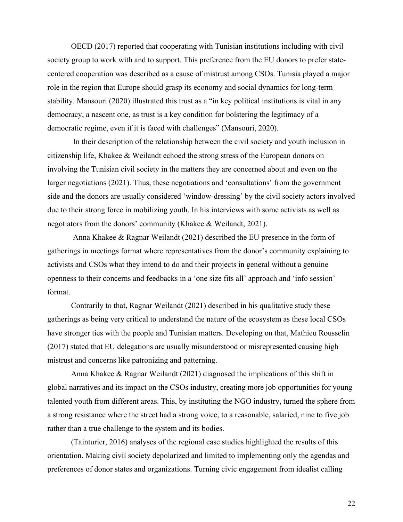OECD (2017) reported that cooperating with Tunisian institutions including with civil society group to work with and to support. This preference from the EU donors to prefer statecentered cooperation was described as a cause of mistrust among CSOs. Tunisia played a major role in the region that Europe should grasp its economy and social dynamics for long-term stability. Mansouri (2020) illustrated this trust as a "in key political institutions is vital in any democracy, a nascent one, as trust is a key condition for bolstering the legitimacy of a democratic regime, even if it is faced with challenges" (Mansouri, 2020).

In their description of the relationship between the civil society and youth inclusion in citizenship life, Khakee & Weilandt echoed the strong stress of the European donors on involving the Tunisian civil society in the matters they are concerned about and even on the larger negotiations (2021). Thus, these negotiations and 'consultations' from the government side and the donors are usually considered 'window-dressing' by the civil society actors involved due to their strong force in mobilizing youth. In his interviews with some activists as well as negotiators from the donors' community (Khakee & Weilandt, 2021).

Anna Khakee & Ragnar Weilandt (2021) described the EU presence in the form of gatherings in meetings format where representatives from the donor's community explaining to activists and CSOs what they intend to do and their projects in general without a genuine openness to their concerns and feedbacks in a 'one size fits all' approach and 'info session' format.

Contrarily to that, Ragnar Weilandt (2021) described in his qualitative study these gatherings as being very critical to understand the nature of the ecosystem as these local CSOs have stronger ties with the people and Tunisian matters. Developing on that, Mathieu Rousselin (2017) stated that EU delegations are usually misunderstood or misrepresented causing high mistrust and concerns like patronizing and patterning.

Anna Khakee & Ragnar Weilandt (2021) diagnosed the implications of this shift in global narratives and its impact on the CSOs industry, creating more job opportunities for young talented youth from different areas. This, by instituting the NGO industry, turned the sphere from a strong resistance where the street had a strong voice, to a reasonable, salaried, nine to five job rather than a true challenge to the system and its bodies.

(Tainturier, 2016) analyses of the regional case studies highlighted the results of this orientation. Making civil society depolarized and limited to implementing only the agendas and preferences of donor states and organizations. Turning civic engagement from idealist calling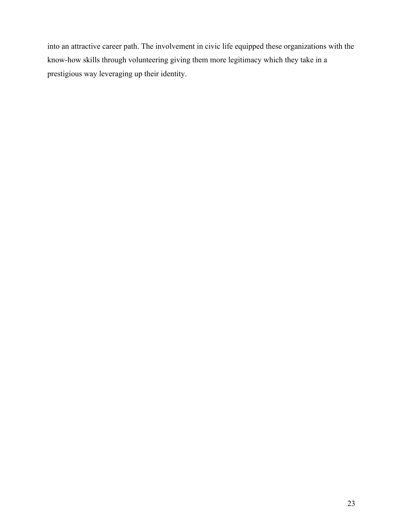into an attractive career path. The involvement in civic life equipped these organizations with the know-how skills through volunteering giving them more legitimacy which they take in a prestigious way leveraging up their identity.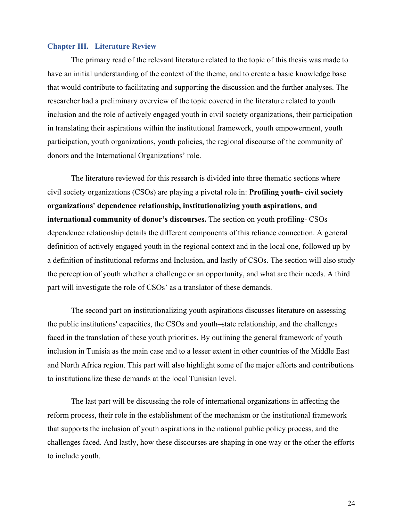#### **Chapter III. Literature Review**

The primary read of the relevant literature related to the topic of this thesis was made to have an initial understanding of the context of the theme, and to create a basic knowledge base that would contribute to facilitating and supporting the discussion and the further analyses. The researcher had a preliminary overview of the topic covered in the literature related to youth inclusion and the role of actively engaged youth in civil society organizations, their participation in translating their aspirations within the institutional framework, youth empowerment, youth participation, youth organizations, youth policies, the regional discourse of the community of donors and the International Organizations' role.

The literature reviewed for this research is divided into three thematic sections where civil society organizations (CSOs) are playing a pivotal role in: **Profiling youth- civil society organizations' dependence relationship, institutionalizing youth aspirations, and international community of donor's discourses.** The section on youth profiling- CSOs dependence relationship details the different components of this reliance connection. A general definition of actively engaged youth in the regional context and in the local one, followed up by a definition of institutional reforms and Inclusion, and lastly of CSOs. The section will also study the perception of youth whether a challenge or an opportunity, and what are their needs. A third part will investigate the role of CSOs' as a translator of these demands.

The second part on institutionalizing youth aspirations discusses literature on assessing the public institutions' capacities, the CSOs and youth–state relationship, and the challenges faced in the translation of these youth priorities. By outlining the general framework of youth inclusion in Tunisia as the main case and to a lesser extent in other countries of the Middle East and North Africa region. This part will also highlight some of the major efforts and contributions to institutionalize these demands at the local Tunisian level.

The last part will be discussing the role of international organizations in affecting the reform process, their role in the establishment of the mechanism or the institutional framework that supports the inclusion of youth aspirations in the national public policy process, and the challenges faced. And lastly, how these discourses are shaping in one way or the other the efforts to include youth.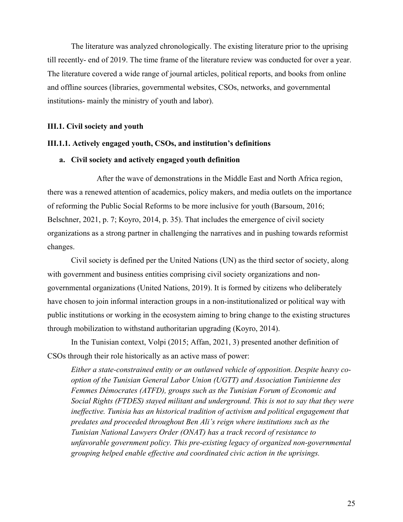The literature was analyzed chronologically. The existing literature prior to the uprising till recently- end of 2019. The time frame of the literature review was conducted for over a year. The literature covered a wide range of journal articles, political reports, and books from online and offline sources (libraries, governmental websites, CSOs, networks, and governmental institutions- mainly the ministry of youth and labor).

#### **III.1. Civil society and youth**

#### **III.1.1. Actively engaged youth, CSOs, and institution's definitions**

#### **a. Civil society and actively engaged youth definition**

After the wave of demonstrations in the Middle East and North Africa region, there was a renewed attention of academics, policy makers, and media outlets on the importance of reforming the Public Social Reforms to be more inclusive for youth (Barsoum, 2016; Belschner, 2021, p. 7; Koyro, 2014, p. 35). That includes the emergence of civil society organizations as a strong partner in challenging the narratives and in pushing towards reformist changes.

Civil society is defined per the United Nations (UN) as the third sector of society, along with government and business entities comprising civil society organizations and nongovernmental organizations (United Nations, 2019). It is formed by citizens who deliberately have chosen to join informal interaction groups in a non-institutionalized or political way with public institutions or working in the ecosystem aiming to bring change to the existing structures through mobilization to withstand authoritarian upgrading (Koyro, 2014).

In the Tunisian context, Volpi (2015; Affan, 2021, 3) presented another definition of CSOs through their role historically as an active mass of power:

*Either a state-constrained entity or an outlawed vehicle of opposition. Despite heavy cooption of the Tunisian General Labor Union (UGTT) and Association Tunisienne des Femmes Démocrates (ATFD), groups such as the Tunisian Forum of Economic and Social Rights (FTDES) stayed militant and underground. This is not to say that they were*  ineffective. Tunisia has an historical tradition of activism and political engagement that *predates and proceeded throughout Ben Ali's reign where institutions such as the Tunisian National Lawyers Order (ONAT) has a track record of resistance to unfavorable government policy. This pre-existing legacy of organized non-governmental grouping helped enable effective and coordinated civic action in the uprisings.*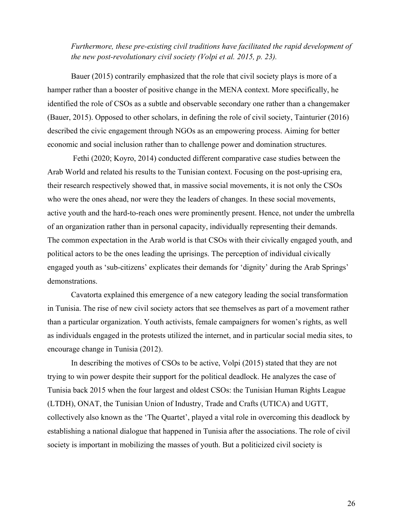*Furthermore, these pre-existing civil traditions have facilitated the rapid development of the new post-revolutionary civil society (Volpi et al. 2015, p. 23).* 

Bauer (2015) contrarily emphasized that the role that civil society plays is more of a hamper rather than a booster of positive change in the MENA context. More specifically, he identified the role of CSOs as a subtle and observable secondary one rather than a changemaker (Bauer, 2015). Opposed to other scholars, in defining the role of civil society, Tainturier (2016) described the civic engagement through NGOs as an empowering process. Aiming for better economic and social inclusion rather than to challenge power and domination structures.

Fethi (2020; Koyro, 2014) conducted different comparative case studies between the Arab World and related his results to the Tunisian context. Focusing on the post-uprising era, their research respectively showed that, in massive social movements, it is not only the CSOs who were the ones ahead, nor were they the leaders of changes. In these social movements, active youth and the hard-to-reach ones were prominently present. Hence, not under the umbrella of an organization rather than in personal capacity, individually representing their demands. The common expectation in the Arab world is that CSOs with their civically engaged youth, and political actors to be the ones leading the uprisings. The perception of individual civically engaged youth as 'sub-citizens' explicates their demands for 'dignity' during the Arab Springs' demonstrations.

Cavatorta explained this emergence of a new category leading the social transformation in Tunisia. The rise of new civil society actors that see themselves as part of a movement rather than a particular organization. Youth activists, female campaigners for women's rights, as well as individuals engaged in the protests utilized the internet, and in particular social media sites, to encourage change in Tunisia (2012).

In describing the motives of CSOs to be active, Volpi (2015) stated that they are not trying to win power despite their support for the political deadlock. He analyzes the case of Tunisia back 2015 when the four largest and oldest CSOs: the Tunisian Human Rights League (LTDH), ONAT, the Tunisian Union of Industry, Trade and Crafts (UTICA) and UGTT, collectively also known as the 'The Quartet', played a vital role in overcoming this deadlock by establishing a national dialogue that happened in Tunisia after the associations. The role of civil society is important in mobilizing the masses of youth. But a politicized civil society is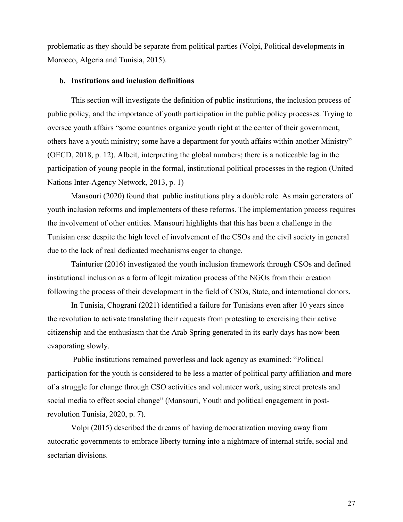problematic as they should be separate from political parties (Volpi, Political developments in Morocco, Algeria and Tunisia, 2015).

#### **b. Institutions and inclusion definitions**

This section will investigate the definition of public institutions, the inclusion process of public policy, and the importance of youth participation in the public policy processes. Trying to oversee youth affairs "some countries organize youth right at the center of their government, others have a youth ministry; some have a department for youth affairs within another Ministry" (OECD, 2018, p. 12). Albeit, interpreting the global numbers; there is a noticeable lag in the participation of young people in the formal, institutional political processes in the region (United Nations Inter-Agency Network, 2013, p. 1)

Mansouri (2020) found that public institutions play a double role. As main generators of youth inclusion reforms and implementers of these reforms. The implementation process requires the involvement of other entities. Mansouri highlights that this has been a challenge in the Tunisian case despite the high level of involvement of the CSOs and the civil society in general due to the lack of real dedicated mechanisms eager to change.

Tainturier (2016) investigated the youth inclusion framework through CSOs and defined institutional inclusion as a form of legitimization process of the NGOs from their creation following the process of their development in the field of CSOs, State, and international donors.

In Tunisia, Chograni (2021) identified a failure for Tunisians even after 10 years since the revolution to activate translating their requests from protesting to exercising their active citizenship and the enthusiasm that the Arab Spring generated in its early days has now been evaporating slowly.

Public institutions remained powerless and lack agency as examined: "Political participation for the youth is considered to be less a matter of political party affiliation and more of a struggle for change through CSO activities and volunteer work, using street protests and social media to effect social change" (Mansouri, Youth and political engagement in postrevolution Tunisia, 2020, p. 7).

Volpi (2015) described the dreams of having democratization moving away from autocratic governments to embrace liberty turning into a nightmare of internal strife, social and sectarian divisions.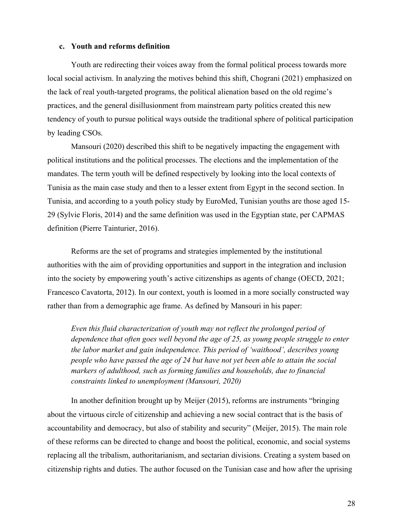#### **c. Youth and reforms definition**

Youth are redirecting their voices away from the formal political process towards more local social activism. In analyzing the motives behind this shift, Chograni (2021) emphasized on the lack of real youth-targeted programs, the political alienation based on the old regime's practices, and the general disillusionment from mainstream party politics created this new tendency of youth to pursue political ways outside the traditional sphere of political participation by leading CSOs.

Mansouri (2020) described this shift to be negatively impacting the engagement with political institutions and the political processes. The elections and the implementation of the mandates. The term youth will be defined respectively by looking into the local contexts of Tunisia as the main case study and then to a lesser extent from Egypt in the second section. In Tunisia, and according to a youth policy study by EuroMed, Tunisian youths are those aged 15- 29 (Sylvie Floris, 2014) and the same definition was used in the Egyptian state, per CAPMAS definition (Pierre Tainturier, 2016).

Reforms are the set of programs and strategies implemented by the institutional authorities with the aim of providing opportunities and support in the integration and inclusion into the society by empowering youth's active citizenships as agents of change (OECD, 2021; Francesco Cavatorta, 2012). In our context, youth is loomed in a more socially constructed way rather than from a demographic age frame. As defined by Mansouri in his paper:

*Even this fluid characterization of youth may not reflect the prolonged period of dependence that often goes well beyond the age of 25, as young people struggle to enter the labor market and gain independence. This period of 'waithood', describes young people who have passed the age of 24 but have not yet been able to attain the social markers of adulthood, such as forming families and households, due to financial constraints linked to unemployment (Mansouri, 2020)*

In another definition brought up by Meijer (2015), reforms are instruments "bringing about the virtuous circle of citizenship and achieving a new social contract that is the basis of accountability and democracy, but also of stability and security" (Meijer, 2015). The main role of these reforms can be directed to change and boost the political, economic, and social systems replacing all the tribalism, authoritarianism, and sectarian divisions. Creating a system based on citizenship rights and duties. The author focused on the Tunisian case and how after the uprising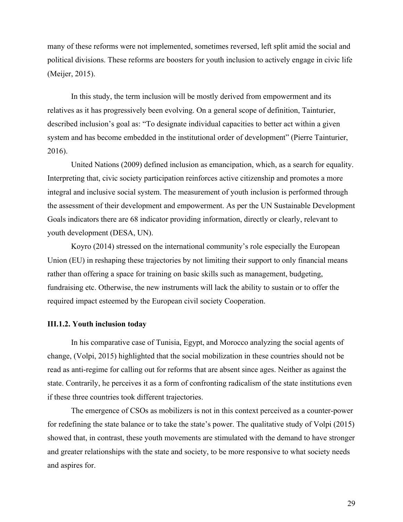many of these reforms were not implemented, sometimes reversed, left split amid the social and political divisions. These reforms are boosters for youth inclusion to actively engage in civic life (Meijer, 2015).

In this study, the term inclusion will be mostly derived from empowerment and its relatives as it has progressively been evolving. On a general scope of definition, Tainturier, described inclusion's goal as: "To designate individual capacities to better act within a given system and has become embedded in the institutional order of development" (Pierre Tainturier, 2016).

United Nations (2009) defined inclusion as emancipation, which, as a search for equality. Interpreting that, civic society participation reinforces active citizenship and promotes a more integral and inclusive social system. The measurement of youth inclusion is performed through the assessment of their development and empowerment. As per the UN Sustainable Development Goals indicators there are 68 indicator providing information, directly or clearly, relevant to youth development (DESA, UN).

Koyro (2014) stressed on the international community's role especially the European Union (EU) in reshaping these trajectories by not limiting their support to only financial means rather than offering a space for training on basic skills such as management, budgeting, fundraising etc. Otherwise, the new instruments will lack the ability to sustain or to offer the required impact esteemed by the European civil society Cooperation.

#### **III.1.2. Youth inclusion today**

In his comparative case of Tunisia, Egypt, and Morocco analyzing the social agents of change, (Volpi, 2015) highlighted that the social mobilization in these countries should not be read as anti-regime for calling out for reforms that are absent since ages. Neither as against the state. Contrarily, he perceives it as a form of confronting radicalism of the state institutions even if these three countries took different trajectories.

The emergence of CSOs as mobilizers is not in this context perceived as a counter-power for redefining the state balance or to take the state's power. The qualitative study of Volpi (2015) showed that, in contrast, these youth movements are stimulated with the demand to have stronger and greater relationships with the state and society, to be more responsive to what society needs and aspires for.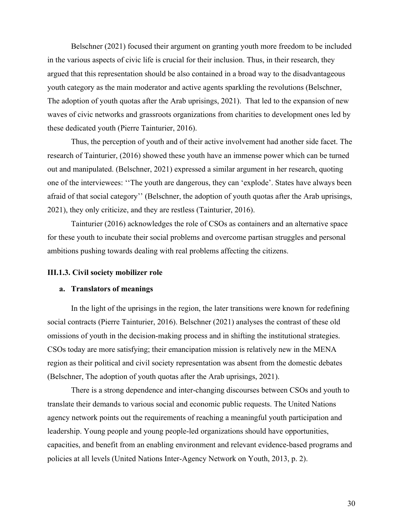Belschner (2021) focused their argument on granting youth more freedom to be included in the various aspects of civic life is crucial for their inclusion. Thus, in their research, they argued that this representation should be also contained in a broad way to the disadvantageous youth category as the main moderator and active agents sparkling the revolutions (Belschner, The adoption of youth quotas after the Arab uprisings, 2021). That led to the expansion of new waves of civic networks and grassroots organizations from charities to development ones led by these dedicated youth (Pierre Tainturier, 2016).

Thus, the perception of youth and of their active involvement had another side facet. The research of Tainturier, (2016) showed these youth have an immense power which can be turned out and manipulated. (Belschner, 2021) expressed a similar argument in her research, quoting one of the interviewees: ''The youth are dangerous, they can 'explode'. States have always been afraid of that social category'' (Belschner, the adoption of youth quotas after the Arab uprisings, 2021), they only criticize, and they are restless (Tainturier, 2016).

Tainturier (2016) acknowledges the role of CSOs as containers and an alternative space for these youth to incubate their social problems and overcome partisan struggles and personal ambitions pushing towards dealing with real problems affecting the citizens.

#### **III.1.3. Civil society mobilizer role**

#### **a. Translators of meanings**

In the light of the uprisings in the region, the later transitions were known for redefining social contracts (Pierre Tainturier, 2016). Belschner (2021) analyses the contrast of these old omissions of youth in the decision-making process and in shifting the institutional strategies. CSOs today are more satisfying; their emancipation mission is relatively new in the MENA region as their political and civil society representation was absent from the domestic debates (Belschner, The adoption of youth quotas after the Arab uprisings, 2021).

There is a strong dependence and inter-changing discourses between CSOs and youth to translate their demands to various social and economic public requests. The United Nations agency network points out the requirements of reaching a meaningful youth participation and leadership. Young people and young people-led organizations should have opportunities, capacities, and benefit from an enabling environment and relevant evidence-based programs and policies at all levels (United Nations Inter-Agency Network on Youth, 2013, p. 2).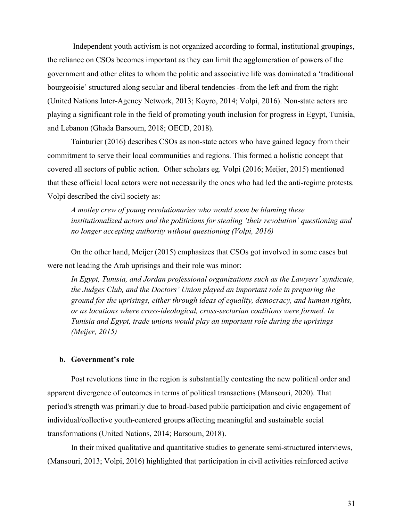Independent youth activism is not organized according to formal, institutional groupings, the reliance on CSOs becomes important as they can limit the agglomeration of powers of the government and other elites to whom the politic and associative life was dominated a 'traditional bourgeoisie' structured along secular and liberal tendencies -from the left and from the right (United Nations Inter-Agency Network, 2013; Koyro, 2014; Volpi, 2016). Non-state actors are playing a significant role in the field of promoting youth inclusion for progress in Egypt, Tunisia, and Lebanon (Ghada Barsoum, 2018; OECD, 2018).

Tainturier (2016) describes CSOs as non-state actors who have gained legacy from their commitment to serve their local communities and regions. This formed a holistic concept that covered all sectors of public action. Other scholars eg. Volpi (2016; Meijer, 2015) mentioned that these official local actors were not necessarily the ones who had led the anti-regime protests. Volpi described the civil society as:

*A motley crew of young revolutionaries who would soon be blaming these institutionalized actors and the politicians for stealing 'their revolution' questioning and no longer accepting authority without questioning (Volpi, 2016)*

On the other hand, Meijer (2015) emphasizes that CSOs got involved in some cases but were not leading the Arab uprisings and their role was minor:

*In Egypt, Tunisia, and Jordan professional organizations such as the Lawyers' syndicate, the Judges Club, and the Doctors' Union played an important role in preparing the ground for the uprisings, either through ideas of equality, democracy, and human rights, or as locations where cross-ideological, cross-sectarian coalitions were formed. In Tunisia and Egypt, trade unions would play an important role during the uprisings (Meijer, 2015)*

#### **b. Government's role**

Post revolutions time in the region is substantially contesting the new political order and apparent divergence of outcomes in terms of political transactions (Mansouri, 2020). That period's strength was primarily due to broad-based public participation and civic engagement of individual/collective youth-centered groups affecting meaningful and sustainable social transformations (United Nations, 2014; Barsoum, 2018).

In their mixed qualitative and quantitative studies to generate semi-structured interviews, (Mansouri, 2013; Volpi, 2016) highlighted that participation in civil activities reinforced active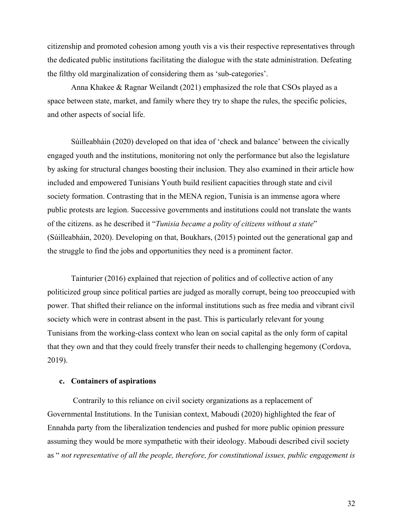citizenship and promoted cohesion among youth vis a vis their respective representatives through the dedicated public institutions facilitating the dialogue with the state administration. Defeating the filthy old marginalization of considering them as 'sub-categories'.

Anna Khakee & Ragnar Weilandt (2021) emphasized the role that CSOs played as a space between state, market, and family where they try to shape the rules, the specific policies, and other aspects of social life.

Súilleabháin (2020) developed on that idea of 'check and balance' between the civically engaged youth and the institutions, monitoring not only the performance but also the legislature by asking for structural changes boosting their inclusion. They also examined in their article how included and empowered Tunisians Youth build resilient capacities through state and civil society formation. Contrasting that in the MENA region, Tunisia is an immense agora where public protests are legion. Successive governments and institutions could not translate the wants of the citizens. as he described it "*Tunisia became a polity of citizens without a state*" (Súilleabháin, 2020). Developing on that, Boukhars, (2015) pointed out the generational gap and the struggle to find the jobs and opportunities they need is a prominent factor.

Tainturier (2016) explained that rejection of politics and of collective action of any politicized group since political parties are judged as morally corrupt, being too preoccupied with power. That shifted their reliance on the informal institutions such as free media and vibrant civil society which were in contrast absent in the past. This is particularly relevant for young Tunisians from the working-class context who lean on social capital as the only form of capital that they own and that they could freely transfer their needs to challenging hegemony (Cordova, 2019).

#### **c. Containers of aspirations**

Contrarily to this reliance on civil society organizations as a replacement of Governmental Institutions. In the Tunisian context, Maboudi (2020) highlighted the fear of Ennahda party from the liberalization tendencies and pushed for more public opinion pressure assuming they would be more sympathetic with their ideology. Maboudi described civil society as " *not representative of all the people, therefore, for constitutional issues, public engagement is*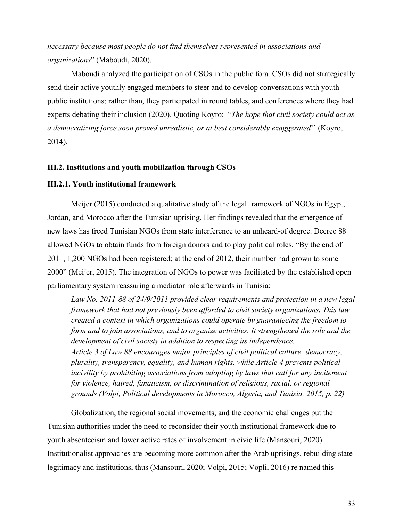*necessary because most people do not find themselves represented in associations and organizations*" (Maboudi, 2020).

Maboudi analyzed the participation of CSOs in the public fora. CSOs did not strategically send their active youthly engaged members to steer and to develop conversations with youth public institutions; rather than, they participated in round tables, and conferences where they had experts debating their inclusion (2020). Quoting Koyro: "*The hope that civil society could act as a democratizing force soon proved unrealistic, or at best considerably exaggerated*'' (Koyro, 2014).

#### **III.2. Institutions and youth mobilization through CSOs**

#### **III.2.1. Youth institutional framework**

Meijer (2015) conducted a qualitative study of the legal framework of NGOs in Egypt, Jordan, and Morocco after the Tunisian uprising. Her findings revealed that the emergence of new laws has freed Tunisian NGOs from state interference to an unheard-of degree. Decree 88 allowed NGOs to obtain funds from foreign donors and to play political roles. "By the end of 2011, 1,200 NGOs had been registered; at the end of 2012, their number had grown to some 2000" (Meijer, 2015). The integration of NGOs to power was facilitated by the established open parliamentary system reassuring a mediator role afterwards in Tunisia:

*Law No. 2011-88 of 24/9/2011 provided clear requirements and protection in a new legal framework that had not previously been afforded to civil society organizations. This law created a context in which organizations could operate by guaranteeing the freedom to form and to join associations, and to organize activities. It strengthened the role and the development of civil society in addition to respecting its independence. Article 3 of Law 88 encourages major principles of civil political culture: democracy, plurality, transparency, equality, and human rights, while Article 4 prevents political incivility by prohibiting associations from adopting by laws that call for any incitement for violence, hatred, fanaticism, or discrimination of religious, racial, or regional grounds (Volpi, Political developments in Morocco, Algeria, and Tunisia, 2015, p. 22)*

Globalization, the regional social movements, and the economic challenges put the Tunisian authorities under the need to reconsider their youth institutional framework due to youth absenteeism and lower active rates of involvement in civic life (Mansouri, 2020). Institutionalist approaches are becoming more common after the Arab uprisings, rebuilding state legitimacy and institutions, thus (Mansouri, 2020; Volpi, 2015; Vopli, 2016) re named this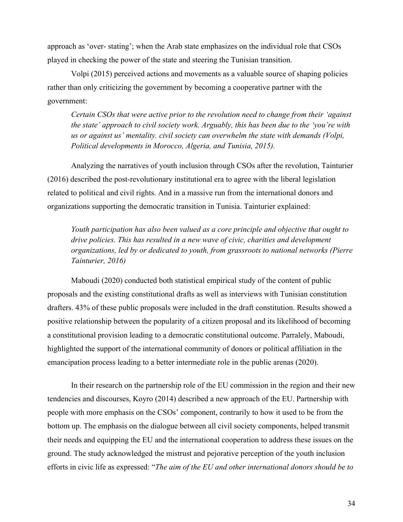approach as 'over- stating'; when the Arab state emphasizes on the individual role that CSOs played in checking the power of the state and steering the Tunisian transition.

Volpi (2015) perceived actions and movements as a valuable source of shaping policies rather than only criticizing the government by becoming a cooperative partner with the government:

*Certain CSOs that were active prior to the revolution need to change from their 'against the state' approach to civil society work. Arguably, this has been due to the 'you're with us or against us' mentality. civil society can overwhelm the state with demands (Volpi, Political developments in Morocco, Algeria, and Tunisia, 2015).*

Analyzing the narratives of youth inclusion through CSOs after the revolution, Tainturier (2016) described the post-revolutionary institutional era to agree with the liberal legislation related to political and civil rights. And in a massive run from the international donors and organizations supporting the democratic transition in Tunisia. Tainturier explained:

*Youth participation has also been valued as a core principle and objective that ought to drive policies. This has resulted in a new wave of civic, charities and development organizations, led by or dedicated to youth, from grassroots to national networks (Pierre Tainturier, 2016)*

Maboudi (2020) conducted both statistical empirical study of the content of public proposals and the existing constitutional drafts as well as interviews with Tunisian constitution drafters. 43% of these public proposals were included in the draft constitution. Results showed a positive relationship between the popularity of a citizen proposal and its likelihood of becoming a constitutional provision leading to a democratic constitutional outcome. Parralely, Maboudi, highlighted the support of the international community of donors or political affiliation in the emancipation process leading to a better intermediate role in the public arenas (2020).

In their research on the partnership role of the EU commission in the region and their new tendencies and discourses, Koyro (2014) described a new approach of the EU. Partnership with people with more emphasis on the CSOs' component, contrarily to how it used to be from the bottom up. The emphasis on the dialogue between all civil society components, helped transmit their needs and equipping the EU and the international cooperation to address these issues on the ground. The study acknowledged the mistrust and pejorative perception of the youth inclusion efforts in civic life as expressed: "*The aim of the EU and other international donors should be to*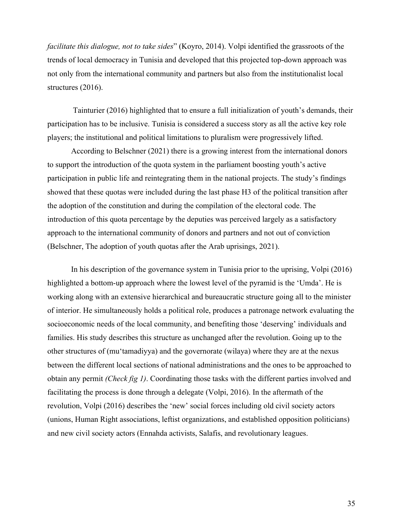*facilitate this dialogue, not to take sides*" (Koyro, 2014). Volpi identified the grassroots of the trends of local democracy in Tunisia and developed that this projected top-down approach was not only from the international community and partners but also from the institutionalist local structures (2016).

Tainturier (2016) highlighted that to ensure a full initialization of youth's demands, their participation has to be inclusive. Tunisia is considered a success story as all the active key role players; the institutional and political limitations to pluralism were progressively lifted.

According to Belschner (2021) there is a growing interest from the international donors to support the introduction of the quota system in the parliament boosting youth's active participation in public life and reintegrating them in the national projects. The study's findings showed that these quotas were included during the last phase H3 of the political transition after the adoption of the constitution and during the compilation of the electoral code. The introduction of this quota percentage by the deputies was perceived largely as a satisfactory approach to the international community of donors and partners and not out of conviction (Belschner, The adoption of youth quotas after the Arab uprisings, 2021).

In his description of the governance system in Tunisia prior to the uprising, Volpi (2016) highlighted a bottom-up approach where the lowest level of the pyramid is the 'Umda'. He is working along with an extensive hierarchical and bureaucratic structure going all to the minister of interior. He simultaneously holds a political role, produces a patronage network evaluating the socioeconomic needs of the local community, and benefiting those 'deserving' individuals and families. His study describes this structure as unchanged after the revolution. Going up to the other structures of (mu'tamadiyya) and the governorate (wilaya) where they are at the nexus between the different local sections of national administrations and the ones to be approached to obtain any permit *(Check fig 1)*. Coordinating those tasks with the different parties involved and facilitating the process is done through a delegate (Volpi, 2016). In the aftermath of the revolution, Volpi (2016) describes the 'new' social forces including old civil society actors (unions, Human Right associations, leftist organizations, and established opposition politicians) and new civil society actors (Ennahda activists, Salafis, and revolutionary leagues.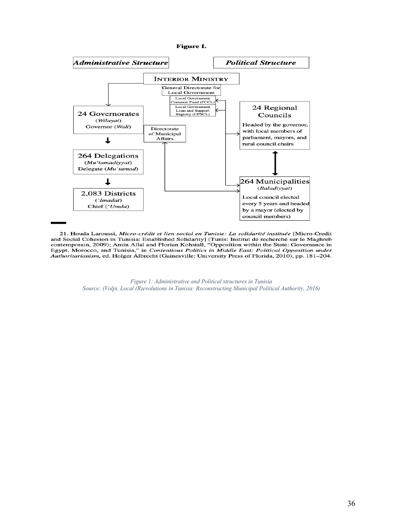

21. Houda Laroussi, Micro-crédit et lien social en Tunisie: La solidarité instituée [Micro-Credit and Social Cohesion in Tunisia: Established Solidarity] (Tunis: Institut de recherché sur le Maghreb contemporain, 2009); Amin Allal and Florian Kohstall, "Opposition within the State: Governance in Egypt, Morocco, and Tunisia," in Contentious Politics in Middle East: Political Opposition under Authoritarianism, ed. Holger Albrecht (Gainesville: University Press of Florida, 2010), pp. 181–204.

> *Figure 1: Administrative and Political structures in Tunisia Source: (Volpi, Local (R)evolutions in Tunisia: Reconstructing Municipal Political Authority, 2016)*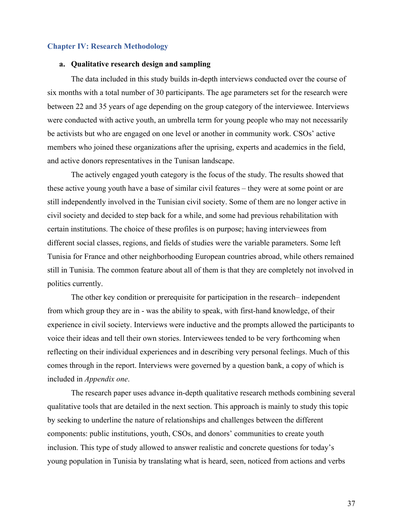# **Chapter IV: Research Methodology**

#### **a. Qualitative research design and sampling**

The data included in this study builds in-depth interviews conducted over the course of six months with a total number of 30 participants. The age parameters set for the research were between 22 and 35 years of age depending on the group category of the interviewee. Interviews were conducted with active youth, an umbrella term for young people who may not necessarily be activists but who are engaged on one level or another in community work. CSOs' active members who joined these organizations after the uprising, experts and academics in the field, and active donors representatives in the Tunisan landscape.

The actively engaged youth category is the focus of the study. The results showed that these active young youth have a base of similar civil features – they were at some point or are still independently involved in the Tunisian civil society. Some of them are no longer active in civil society and decided to step back for a while, and some had previous rehabilitation with certain institutions. The choice of these profiles is on purpose; having interviewees from different social classes, regions, and fields of studies were the variable parameters. Some left Tunisia for France and other neighborhooding European countries abroad, while others remained still in Tunisia. The common feature about all of them is that they are completely not involved in politics currently.

The other key condition or prerequisite for participation in the research– independent from which group they are in - was the ability to speak, with first-hand knowledge, of their experience in civil society. Interviews were inductive and the prompts allowed the participants to voice their ideas and tell their own stories. Interviewees tended to be very forthcoming when reflecting on their individual experiences and in describing very personal feelings. Much of this comes through in the report. Interviews were governed by a question bank, a copy of which is included in *Appendix one*.

The research paper uses advance in-depth qualitative research methods combining several qualitative tools that are detailed in the next section. This approach is mainly to study this topic by seeking to underline the nature of relationships and challenges between the different components: public institutions, youth, CSOs, and donors' communities to create youth inclusion. This type of study allowed to answer realistic and concrete questions for today's young population in Tunisia by translating what is heard, seen, noticed from actions and verbs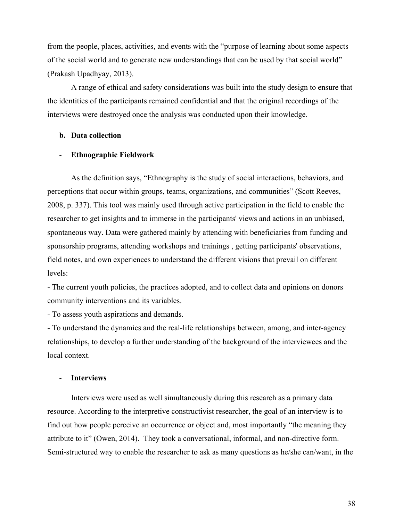from the people, places, activities, and events with the "purpose of learning about some aspects of the social world and to generate new understandings that can be used by that social world" (Prakash Upadhyay, 2013).

A range of ethical and safety considerations was built into the study design to ensure that the identities of the participants remained confidential and that the original recordings of the interviews were destroyed once the analysis was conducted upon their knowledge.

# **b. Data collection**

#### - **Ethnographic Fieldwork**

As the definition says, "Ethnography is the study of social interactions, behaviors, and perceptions that occur within groups, teams, organizations, and communities" (Scott Reeves, 2008, p. 337). This tool was mainly used through active participation in the field to enable the researcher to get insights and to immerse in the participants' views and actions in an unbiased, spontaneous way. Data were gathered mainly by attending with beneficiaries from funding and sponsorship programs, attending workshops and trainings , getting participants' observations, field notes, and own experiences to understand the different visions that prevail on different levels:

- The current youth policies, the practices adopted, and to collect data and opinions on donors community interventions and its variables.

- To assess youth aspirations and demands.

- To understand the dynamics and the real-life relationships between, among, and inter-agency relationships, to develop a further understanding of the background of the interviewees and the local context.

#### - **Interviews**

Interviews were used as well simultaneously during this research as a primary data resource. According to the interpretive constructivist researcher, the goal of an interview is to find out how people perceive an occurrence or object and, most importantly "the meaning they attribute to it" (Owen, 2014). They took a conversational, informal, and non-directive form. Semi-structured way to enable the researcher to ask as many questions as he/she can/want, in the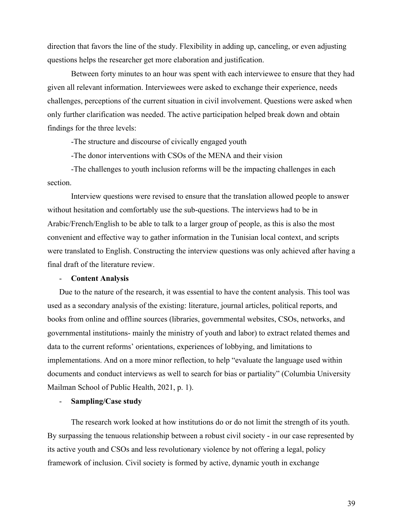direction that favors the line of the study. Flexibility in adding up, canceling, or even adjusting questions helps the researcher get more elaboration and justification.

Between forty minutes to an hour was spent with each interviewee to ensure that they had given all relevant information. Interviewees were asked to exchange their experience, needs challenges, perceptions of the current situation in civil involvement. Questions were asked when only further clarification was needed. The active participation helped break down and obtain findings for the three levels:

-The structure and discourse of civically engaged youth

-The donor interventions with CSOs of the MENA and their vision

-The challenges to youth inclusion reforms will be the impacting challenges in each section.

Interview questions were revised to ensure that the translation allowed people to answer without hesitation and comfortably use the sub-questions. The interviews had to be in Arabic/French/English to be able to talk to a larger group of people, as this is also the most convenient and effective way to gather information in the Tunisian local context, and scripts were translated to English. Constructing the interview questions was only achieved after having a final draft of the literature review.

#### - **Content Analysis**

Due to the nature of the research, it was essential to have the content analysis. This tool was used as a secondary analysis of the existing: literature, journal articles, political reports, and books from online and offline sources (libraries, governmental websites, CSOs, networks, and governmental institutions- mainly the ministry of youth and labor) to extract related themes and data to the current reforms' orientations, experiences of lobbying, and limitations to implementations. And on a more minor reflection, to help "evaluate the language used within documents and conduct interviews as well to search for bias or partiality" (Columbia University Mailman School of Public Health, 2021, p. 1).

#### - **Sampling/Case study**

The research work looked at how institutions do or do not limit the strength of its youth. By surpassing the tenuous relationship between a robust civil society - in our case represented by its active youth and CSOs and less revolutionary violence by not offering a legal, policy framework of inclusion. Civil society is formed by active, dynamic youth in exchange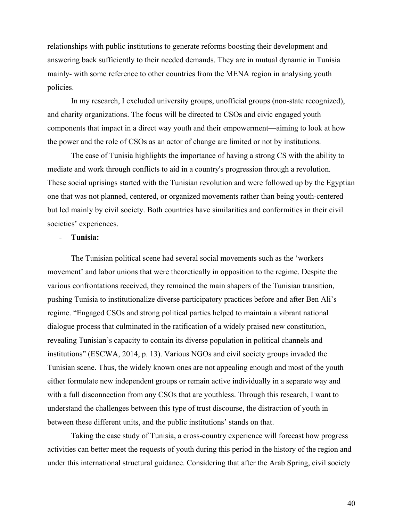relationships with public institutions to generate reforms boosting their development and answering back sufficiently to their needed demands. They are in mutual dynamic in Tunisia mainly- with some reference to other countries from the MENA region in analysing youth policies.

In my research, I excluded university groups, unofficial groups (non-state recognized), and charity organizations. The focus will be directed to CSOs and civic engaged youth components that impact in a direct way youth and their empowerment—aiming to look at how the power and the role of CSOs as an actor of change are limited or not by institutions.

The case of Tunisia highlights the importance of having a strong CS with the ability to mediate and work through conflicts to aid in a country's progression through a revolution. These social uprisings started with the Tunisian revolution and were followed up by the Egyptian one that was not planned, centered, or organized movements rather than being youth-centered but led mainly by civil society. Both countries have similarities and conformities in their civil societies' experiences.

# - **Tunisia:**

The Tunisian political scene had several social movements such as the 'workers movement' and labor unions that were theoretically in opposition to the regime. Despite the various confrontations received, they remained the main shapers of the Tunisian transition, pushing Tunisia to institutionalize diverse participatory practices before and after Ben Ali's regime. "Engaged CSOs and strong political parties helped to maintain a vibrant national dialogue process that culminated in the ratification of a widely praised new constitution, revealing Tunisian's capacity to contain its diverse population in political channels and institutions" (ESCWA, 2014, p. 13). Various NGOs and civil society groups invaded the Tunisian scene. Thus, the widely known ones are not appealing enough and most of the youth either formulate new independent groups or remain active individually in a separate way and with a full disconnection from any CSOs that are youthless. Through this research, I want to understand the challenges between this type of trust discourse, the distraction of youth in between these different units, and the public institutions' stands on that.

Taking the case study of Tunisia, a cross-country experience will forecast how progress activities can better meet the requests of youth during this period in the history of the region and under this international structural guidance. Considering that after the Arab Spring, civil society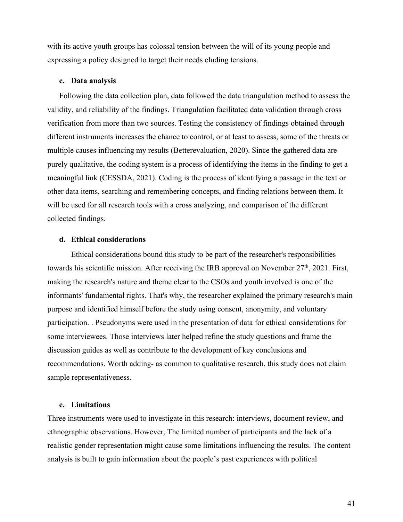with its active youth groups has colossal tension between the will of its young people and expressing a policy designed to target their needs eluding tensions.

#### **c. Data analysis**

Following the data collection plan, data followed the data triangulation method to assess the validity, and reliability of the findings. Triangulation facilitated data validation through cross verification from more than two sources. Testing the consistency of findings obtained through different instruments increases the chance to control, or at least to assess, some of the threats or multiple causes influencing my results (Betterevaluation, 2020). Since the gathered data are purely qualitative, the coding system is a process of identifying the items in the finding to get a meaningful link (CESSDA, 2021). Coding is the process of identifying a passage in the text or other data items, searching and remembering concepts, and finding relations between them. It will be used for all research tools with a cross analyzing, and comparison of the different collected findings.

# **d. Ethical considerations**

Ethical considerations bound this study to be part of the researcher's responsibilities towards his scientific mission. After receiving the IRB approval on November 27<sup>th</sup>, 2021. First, making the research's nature and theme clear to the CSOs and youth involved is one of the informants' fundamental rights. That's why, the researcher explained the primary research's main purpose and identified himself before the study using consent, anonymity, and voluntary participation. . Pseudonyms were used in the presentation of data for ethical considerations for some interviewees. Those interviews later helped refine the study questions and frame the discussion guides as well as contribute to the development of key conclusions and recommendations. Worth adding- as common to qualitative research, this study does not claim sample representativeness.

## **e. Limitations**

Three instruments were used to investigate in this research: interviews, document review, and ethnographic observations. However, The limited number of participants and the lack of a realistic gender representation might cause some limitations influencing the results. The content analysis is built to gain information about the people's past experiences with political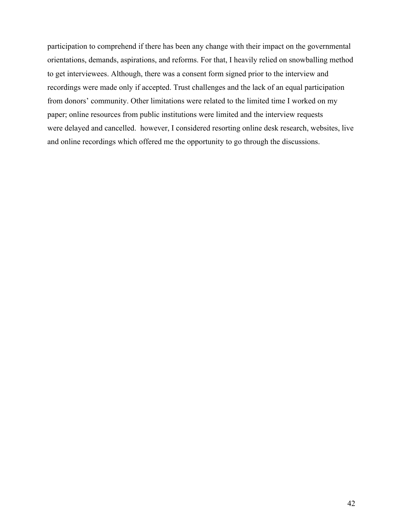participation to comprehend if there has been any change with their impact on the governmental orientations, demands, aspirations, and reforms. For that, I heavily relied on snowballing method to get interviewees. Although, there was a consent form signed prior to the interview and recordings were made only if accepted. Trust challenges and the lack of an equal participation from donors' community. Other limitations were related to the limited time I worked on my paper; online resources from public institutions were limited and the interview requests were delayed and cancelled. however, I considered resorting online desk research, websites, live and online recordings which offered me the opportunity to go through the discussions.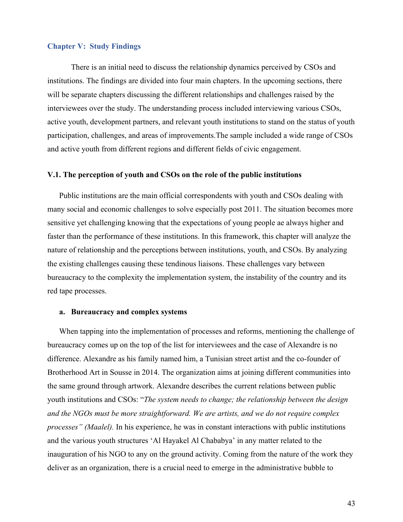#### **Chapter V: Study Findings**

There is an initial need to discuss the relationship dynamics perceived by CSOs and institutions. The findings are divided into four main chapters. In the upcoming sections, there will be separate chapters discussing the different relationships and challenges raised by the interviewees over the study. The understanding process included interviewing various CSOs, active youth, development partners, and relevant youth institutions to stand on the status of youth participation, challenges, and areas of improvements.The sample included a wide range of CSOs and active youth from different regions and different fields of civic engagement.

## **V.1. The perception of youth and CSOs on the role of the public institutions**

Public institutions are the main official correspondents with youth and CSOs dealing with many social and economic challenges to solve especially post 2011. The situation becomes more sensitive yet challenging knowing that the expectations of young people ae always higher and faster than the performance of these institutions. In this framework, this chapter will analyze the nature of relationship and the perceptions between institutions, youth, and CSOs. By analyzing the existing challenges causing these tendinous liaisons. These challenges vary between bureaucracy to the complexity the implementation system, the instability of the country and its red tape processes.

#### **a. Bureaucracy and complex systems**

When tapping into the implementation of processes and reforms, mentioning the challenge of bureaucracy comes up on the top of the list for interviewees and the case of Alexandre is no difference. Alexandre as his family named him, a Tunisian street artist and the co-founder of Brotherhood Art in Sousse in 2014. The organization aims at joining different communities into the same ground through artwork. Alexandre describes the current relations between public youth institutions and CSOs: "*The system needs to change; the relationship between the design and the NGOs must be more straightforward. We are artists, and we do not require complex processes" (Maalel).* In his experience, he was in constant interactions with public institutions and the various youth structures 'Al Hayakel Al Chababya' in any matter related to the inauguration of his NGO to any on the ground activity. Coming from the nature of the work they deliver as an organization, there is a crucial need to emerge in the administrative bubble to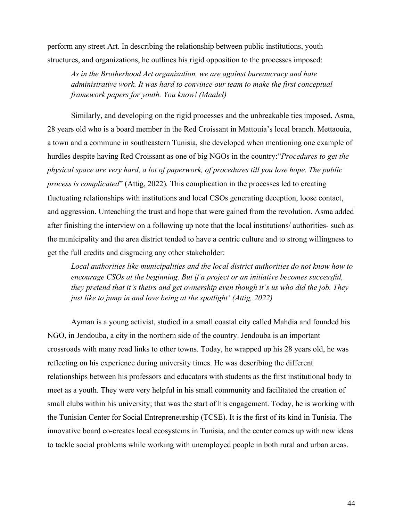perform any street Art. In describing the relationship between public institutions, youth structures, and organizations, he outlines his rigid opposition to the processes imposed:

*As in the Brotherhood Art organization, we are against bureaucracy and hate administrative work. It was hard to convince our team to make the first conceptual framework papers for youth. You know! (Maalel)*

Similarly, and developing on the rigid processes and the unbreakable ties imposed, Asma, 28 years old who is a board member in the Red Croissant in Mattouia's local branch. Mettaouia, a town and a commune in southeastern Tunisia, she developed when mentioning one example of hurdles despite having Red Croissant as one of big NGOs in the country:"*Procedures to get the physical space are very hard, a lot of paperwork, of procedures till you lose hope. The public process is complicated*" (Attig, 2022)*.* This complication in the processes led to creating fluctuating relationships with institutions and local CSOs generating deception, loose contact, and aggression. Unteaching the trust and hope that were gained from the revolution. Asma added after finishing the interview on a following up note that the local institutions/ authorities- such as the municipality and the area district tended to have a centric culture and to strong willingness to get the full credits and disgracing any other stakeholder:

*Local authorities like municipalities and the local district authorities do not know how to encourage CSOs at the beginning. But if a project or an initiative becomes successful, they pretend that it's theirs and get ownership even though it's us who did the job. They just like to jump in and love being at the spotlight' (Attig, 2022)*

Ayman is a young activist, studied in a small coastal city called Mahdia and founded his NGO, in Jendouba, a city in the northern side of the country. Jendouba is an important crossroads with many road links to other towns. Today, he wrapped up his 28 years old, he was reflecting on his experience during university times. He was describing the different relationships between his professors and educators with students as the first institutional body to meet as a youth. They were very helpful in his small community and facilitated the creation of small clubs within his university; that was the start of his engagement. Today, he is working with the Tunisian Center for Social Entrepreneurship (TCSE). It is the first of its kind in Tunisia. The innovative board co-creates local ecosystems in Tunisia, and the center comes up with new ideas to tackle social problems while working with unemployed people in both rural and urban areas.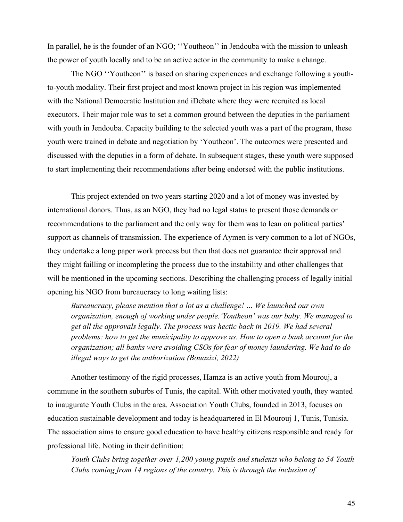In parallel, he is the founder of an NGO; "Youtheon" in Jendouba with the mission to unleash the power of youth locally and to be an active actor in the community to make a change.

The NGO ''Youtheon'' is based on sharing experiences and exchange following a youthto-youth modality. Their first project and most known project in his region was implemented with the National Democratic Institution and iDebate where they were recruited as local executors. Their major role was to set a common ground between the deputies in the parliament with youth in Jendouba. Capacity building to the selected youth was a part of the program, these youth were trained in debate and negotiation by 'Youtheon'. The outcomes were presented and discussed with the deputies in a form of debate. In subsequent stages, these youth were supposed to start implementing their recommendations after being endorsed with the public institutions.

This project extended on two years starting 2020 and a lot of money was invested by international donors. Thus, as an NGO, they had no legal status to present those demands or recommendations to the parliament and the only way for them was to lean on political parties' support as channels of transmission. The experience of Aymen is very common to a lot of NGOs, they undertake a long paper work process but then that does not guarantee their approval and they might failling or incompleting the process due to the instability and other challenges that will be mentioned in the upcoming sections. Describing the challenging process of legally initial opening his NGO from bureaucracy to long waiting lists:

*Bureaucracy, please mention that a lot as a challenge! … We launched our own organization, enough of working under people.'Youtheon' was our baby. We managed to get all the approvals legally. The process was hectic back in 2019. We had several problems: how to get the municipality to approve us. How to open a bank account for the organization; all banks were avoiding CSOs for fear of money laundering. We had to do illegal ways to get the authorization (Bouazizi, 2022)*

Another testimony of the rigid processes, Hamza is an active youth from Mourouj, a commune in the southern suburbs of Tunis, the capital. With other motivated youth, they wanted to inaugurate Youth Clubs in the area. Association Youth Clubs, founded in 2013, focuses on education sustainable development and today is headquartered in El Mourouj 1, Tunis, Tunisia. The association aims to ensure good education to have healthy citizens responsible and ready for professional life. Noting in their definition:

*Youth Clubs bring together over 1,200 young pupils and students who belong to 54 Youth Clubs coming from 14 regions of the country. This is through the inclusion of*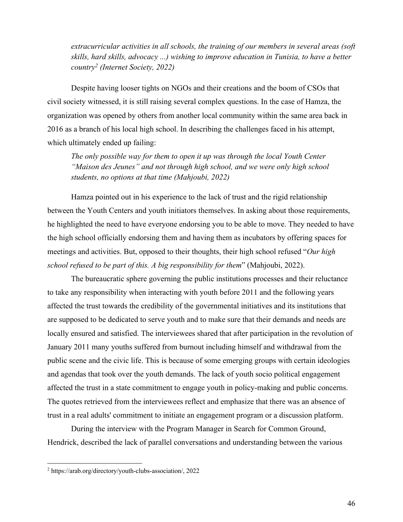*extracurricular activities in all schools, the training of our members in several areas (soft skills, hard skills, advocacy ...) wishing to improve education in Tunisia, to have a better country2 (Internet Society, 2022)*

Despite having looser tights on NGOs and their creations and the boom of CSOs that civil society witnessed, it is still raising several complex questions. In the case of Hamza, the organization was opened by others from another local community within the same area back in 2016 as a branch of his local high school. In describing the challenges faced in his attempt, which ultimately ended up failing:

*The only possible way for them to open it up was through the local Youth Center "Maison des Jeunes" and not through high school, and we were only high school students, no options at that time (Mahjoubi, 2022)*

Hamza pointed out in his experience to the lack of trust and the rigid relationship between the Youth Centers and youth initiators themselves. In asking about those requirements, he highlighted the need to have everyone endorsing you to be able to move. They needed to have the high school officially endorsing them and having them as incubators by offering spaces for meetings and activities. But, opposed to their thoughts, their high school refused "*Our high school refused to be part of this. A big responsibility for them*" (Mahjoubi, 2022).

The bureaucratic sphere governing the public institutions processes and their reluctance to take any responsibility when interacting with youth before 2011 and the following years affected the trust towards the credibility of the governmental initiatives and its institutions that are supposed to be dedicated to serve youth and to make sure that their demands and needs are locally ensured and satisfied. The interviewees shared that after participation in the revolution of January 2011 many youths suffered from burnout including himself and withdrawal from the public scene and the civic life. This is because of some emerging groups with certain ideologies and agendas that took over the youth demands. The lack of youth socio political engagement affected the trust in a state commitment to engage youth in policy-making and public concerns. The quotes retrieved from the interviewees reflect and emphasize that there was an absence of trust in a real adults' commitment to initiate an engagement program or a discussion platform.

During the interview with the Program Manager in Search for Common Ground, Hendrick, described the lack of parallel conversations and understanding between the various

<sup>2</sup> https://arab.org/directory/youth-clubs-association/, 2022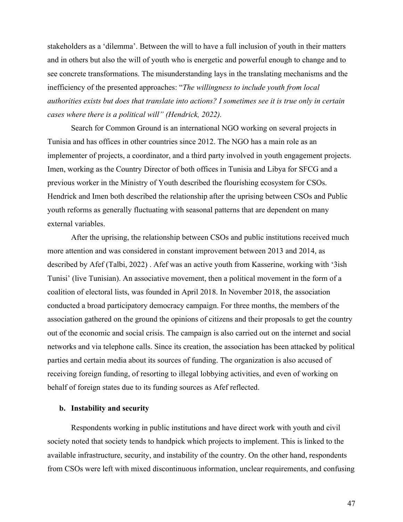stakeholders as a 'dilemma'. Between the will to have a full inclusion of youth in their matters and in others but also the will of youth who is energetic and powerful enough to change and to see concrete transformations. The misunderstanding lays in the translating mechanisms and the inefficiency of the presented approaches: "*The willingness to include youth from local authorities exists but does that translate into actions? I sometimes see it is true only in certain cases where there is a political will" (Hendrick, 2022).*

Search for Common Ground is an international NGO working on several projects in Tunisia and has offices in other countries since 2012. The NGO has a main role as an implementer of projects, a coordinator, and a third party involved in youth engagement projects. Imen, working as the Country Director of both offices in Tunisia and Libya for SFCG and a previous worker in the Ministry of Youth described the flourishing ecosystem for CSOs. Hendrick and Imen both described the relationship after the uprising between CSOs and Public youth reforms as generally fluctuating with seasonal patterns that are dependent on many external variables.

After the uprising, the relationship between CSOs and public institutions received much more attention and was considered in constant improvement between 2013 and 2014, as described by Afef (Talbi, 2022) . Afef was an active youth from Kasserine, working with '3ish Tunisi' (live Tunisian). An associative movement, then a political movement in the form of a coalition of electoral lists, was founded in April 2018. In November 2018, the association conducted a broad participatory democracy campaign. For three months, the members of the association gathered on the ground the opinions of citizens and their proposals to get the country out of the economic and social crisis. The campaign is also carried out on the internet and social networks and via telephone calls. Since its creation, the association has been attacked by political parties and certain media about its sources of funding. The organization is also accused of receiving foreign funding, of resorting to illegal lobbying activities, and even of working on behalf of foreign states due to its funding sources as Afef reflected.

#### **b. Instability and security**

Respondents working in public institutions and have direct work with youth and civil society noted that society tends to handpick which projects to implement. This is linked to the available infrastructure, security, and instability of the country. On the other hand, respondents from CSOs were left with mixed discontinuous information, unclear requirements, and confusing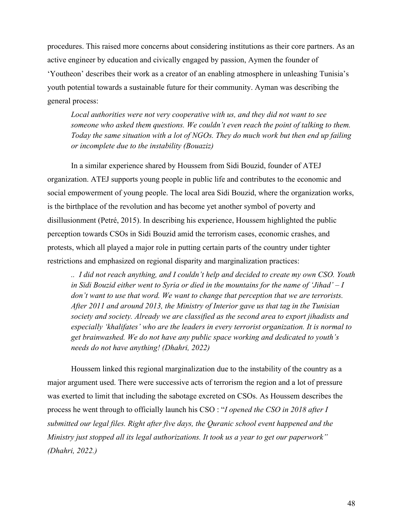procedures. This raised more concerns about considering institutions as their core partners. As an active engineer by education and civically engaged by passion, Aymen the founder of 'Youtheon' describes their work as a creator of an enabling atmosphere in unleashing Tunisia's youth potential towards a sustainable future for their community. Ayman was describing the general process:

*Local authorities were not very cooperative with us, and they did not want to see someone who asked them questions. We couldn't even reach the point of talking to them. Today the same situation with a lot of NGOs. They do much work but then end up failing or incomplete due to the instability (Bouaziz)*

In a similar experience shared by Houssem from Sidi Bouzid, founder of ATEJ organization. ATEJ supports young people in public life and contributes to the economic and social empowerment of young people. The local area Sidi Bouzid, where the organization works, is the birthplace of the revolution and has become yet another symbol of poverty and disillusionment (Petré, 2015). In describing his experience, Houssem highlighted the public perception towards CSOs in Sidi Bouzid amid the terrorism cases, economic crashes, and protests, which all played a major role in putting certain parts of the country under tighter restrictions and emphasized on regional disparity and marginalization practices:

*.. I did not reach anything, and I couldn't help and decided to create my own CSO. Youth in Sidi Bouzid either went to Syria or died in the mountains for the name of 'Jihad' – I don't want to use that word. We want to change that perception that we are terrorists. After 2011 and around 2013, the Ministry of Interior gave us that tag in the Tunisian society and society. Already we are classified as the second area to export jihadists and especially 'khalifates' who are the leaders in every terrorist organization. It is normal to get brainwashed. We do not have any public space working and dedicated to youth's needs do not have anything! (Dhahri, 2022)*

Houssem linked this regional marginalization due to the instability of the country as a major argument used. There were successive acts of terrorism the region and a lot of pressure was exerted to limit that including the sabotage excreted on CSOs. As Houssem describes the process he went through to officially launch his CSO : "*I opened the CSO in 2018 after I submitted our legal files. Right after five days, the Quranic school event happened and the Ministry just stopped all its legal authorizations. It took us a year to get our paperwork" (Dhahri, 2022.)*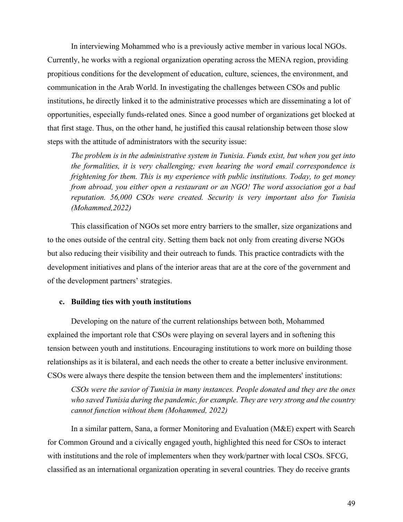In interviewing Mohammed who is a previously active member in various local NGOs. Currently, he works with a regional organization operating across the MENA region, providing propitious conditions for the development of education, culture, sciences, the environment, and communication in the Arab World. In investigating the challenges between CSOs and public institutions, he directly linked it to the administrative processes which are disseminating a lot of opportunities, especially funds-related ones. Since a good number of organizations get blocked at that first stage. Thus, on the other hand, he justified this causal relationship between those slow steps with the attitude of administrators with the security issue:

*The problem is in the administrative system in Tunisia. Funds exist, but when you get into the formalities, it is very challenging; even hearing the word email correspondence is frightening for them. This is my experience with public institutions. Today, to get money from abroad, you either open a restaurant or an NGO! The word association got a bad reputation. 56,000 CSOs were created. Security is very important also for Tunisia (Mohammed,2022)*

This classification of NGOs set more entry barriers to the smaller, size organizations and to the ones outside of the central city. Setting them back not only from creating diverse NGOs but also reducing their visibility and their outreach to funds. This practice contradicts with the development initiatives and plans of the interior areas that are at the core of the government and of the development partners' strategies.

## **c. Building ties with youth institutions**

Developing on the nature of the current relationships between both, Mohammed explained the important role that CSOs were playing on several layers and in softening this tension between youth and institutions. Encouraging institutions to work more on building those relationships as it is bilateral, and each needs the other to create a better inclusive environment. CSOs were always there despite the tension between them and the implementers' institutions:

*CSOs were the savior of Tunisia in many instances. People donated and they are the ones who saved Tunisia during the pandemic, for example. They are very strong and the country cannot function without them (Mohammed, 2022)*

In a similar pattern, Sana, a former Monitoring and Evaluation (M&E) expert with Search for Common Ground and a civically engaged youth, highlighted this need for CSOs to interact with institutions and the role of implementers when they work/partner with local CSOs. SFCG, classified as an international organization operating in several countries. They do receive grants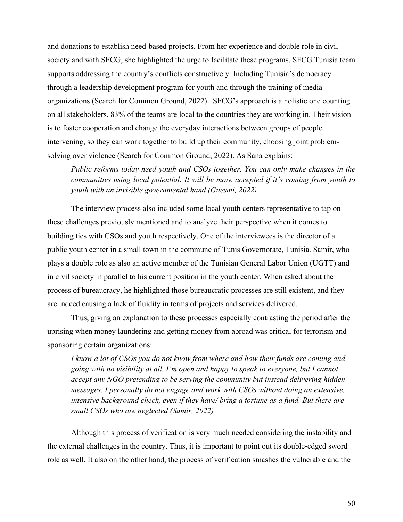and donations to establish need-based projects. From her experience and double role in civil society and with SFCG, she highlighted the urge to facilitate these programs. SFCG Tunisia team supports addressing the country's conflicts constructively. Including Tunisia's democracy through a leadership development program for youth and through the training of media organizations (Search for Common Ground, 2022). SFCG's approach is a holistic one counting on all stakeholders. 83% of the teams are local to the countries they are working in. Their vision is to foster cooperation and change the everyday interactions between groups of people intervening, so they can work together to build up their community, choosing joint problemsolving over violence (Search for Common Ground, 2022). As Sana explains:

*Public reforms today need youth and CSOs together. You can only make changes in the communities using local potential. It will be more accepted if it's coming from youth to youth with an invisible governmental hand (Guesmi, 2022)*

The interview process also included some local youth centers representative to tap on these challenges previously mentioned and to analyze their perspective when it comes to building ties with CSOs and youth respectively. One of the interviewees is the director of a public youth center in a small town in the commune of Tunis Governorate, Tunisia. Samir, who plays a double role as also an active member of the Tunisian General Labor Union (UGTT) and in civil society in parallel to his current position in the youth center. When asked about the process of bureaucracy, he highlighted those bureaucratic processes are still existent, and they are indeed causing a lack of fluidity in terms of projects and services delivered.

Thus, giving an explanation to these processes especially contrasting the period after the uprising when money laundering and getting money from abroad was critical for terrorism and sponsoring certain organizations:

*I know a lot of CSOs you do not know from where and how their funds are coming and going with no visibility at all. I'm open and happy to speak to everyone, but I cannot accept any NGO pretending to be serving the community but instead delivering hidden messages. I personally do not engage and work with CSOs without doing an extensive, intensive background check, even if they have/ bring a fortune as a fund. But there are small CSOs who are neglected (Samir, 2022)*

Although this process of verification is very much needed considering the instability and the external challenges in the country. Thus, it is important to point out its double-edged sword role as well. It also on the other hand, the process of verification smashes the vulnerable and the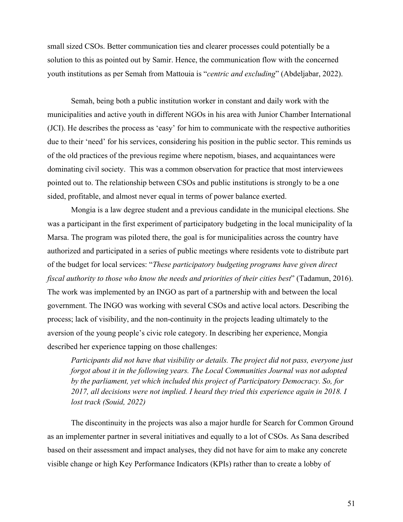small sized CSOs. Better communication ties and clearer processes could potentially be a solution to this as pointed out by Samir. Hence, the communication flow with the concerned youth institutions as per Semah from Mattouia is "*centric and excluding*" (Abdeljabar, 2022).

Semah, being both a public institution worker in constant and daily work with the municipalities and active youth in different NGOs in his area with Junior Chamber International (JCI). He describes the process as 'easy' for him to communicate with the respective authorities due to their 'need' for his services, considering his position in the public sector. This reminds us of the old practices of the previous regime where nepotism, biases, and acquaintances were dominating civil society. This was a common observation for practice that most interviewees pointed out to. The relationship between CSOs and public institutions is strongly to be a one sided, profitable, and almost never equal in terms of power balance exerted.

Mongia is a law degree student and a previous candidate in the municipal elections. She was a participant in the first experiment of participatory budgeting in the local municipality of la Marsa. The program was piloted there, the goal is for municipalities across the country have authorized and participated in a series of public meetings where residents vote to distribute part of the budget for local services: "*These participatory budgeting programs have given direct fiscal authority to those who know the needs and priorities of their cities best*" (Tadamun, 2016). The work was implemented by an INGO as part of a partnership with and between the local government. The INGO was working with several CSOs and active local actors. Describing the process; lack of visibility, and the non-continuity in the projects leading ultimately to the aversion of the young people's civic role category. In describing her experience, Mongia described her experience tapping on those challenges:

*Participants did not have that visibility or details. The project did not pass, everyone just forgot about it in the following years. The Local Communities Journal was not adopted by the parliament, yet which included this project of Participatory Democracy. So, for 2017, all decisions were not implied. I heard they tried this experience again in 2018. I lost track (Souid, 2022)*

The discontinuity in the projects was also a major hurdle for Search for Common Ground as an implementer partner in several initiatives and equally to a lot of CSOs. As Sana described based on their assessment and impact analyses, they did not have for aim to make any concrete visible change or high Key Performance Indicators (KPIs) rather than to create a lobby of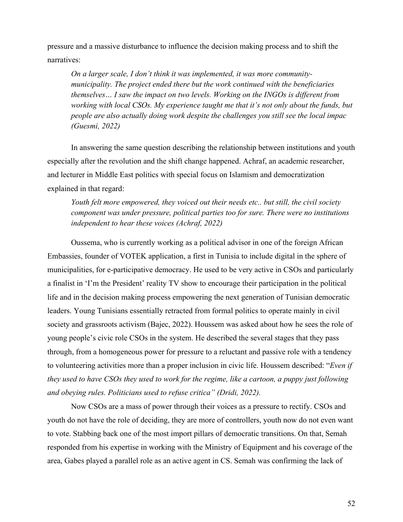pressure and a massive disturbance to influence the decision making process and to shift the narratives:

*On a larger scale, I don't think it was implemented, it was more communitymunicipality. The project ended there but the work continued with the beneficiaries themselves… I saw the impact on two levels. Working on the INGOs is different from working with local CSOs. My experience taught me that it's not only about the funds, but people are also actually doing work despite the challenges you still see the local impac (Guesmi, 2022)*

In answering the same question describing the relationship between institutions and youth especially after the revolution and the shift change happened. Achraf, an academic researcher, and lecturer in Middle East politics with special focus on Islamism and democratization explained in that regard:

*Youth felt more empowered, they voiced out their needs etc.. but still, the civil society component was under pressure, political parties too for sure. There were no institutions independent to hear these voices (Achraf, 2022)*

Oussema, who is currently working as a political advisor in one of the foreign African Embassies, founder of VOTEK application, a first in Tunisia to include digital in the sphere of municipalities, for e-participative democracy. He used to be very active in CSOs and particularly a finalist in 'I'm the President' reality TV show to encourage their participation in the political life and in the decision making process empowering the next generation of Tunisian democratic leaders. Young Tunisians essentially retracted from formal politics to operate mainly in civil society and grassroots activism (Bajec, 2022). Houssem was asked about how he sees the role of young people's civic role CSOs in the system. He described the several stages that they pass through, from a homogeneous power for pressure to a reluctant and passive role with a tendency to volunteering activities more than a proper inclusion in civic life. Houssem described: "*Even if they used to have CSOs they used to work for the regime, like a cartoon, a puppy just following and obeying rules. Politicians used to refuse critica" (Dridi, 2022).*

Now CSOs are a mass of power through their voices as a pressure to rectify. CSOs and youth do not have the role of deciding, they are more of controllers, youth now do not even want to vote. Stabbing back one of the most import pillars of democratic transitions. On that, Semah responded from his expertise in working with the Ministry of Equipment and his coverage of the area, Gabes played a parallel role as an active agent in CS. Semah was confirming the lack of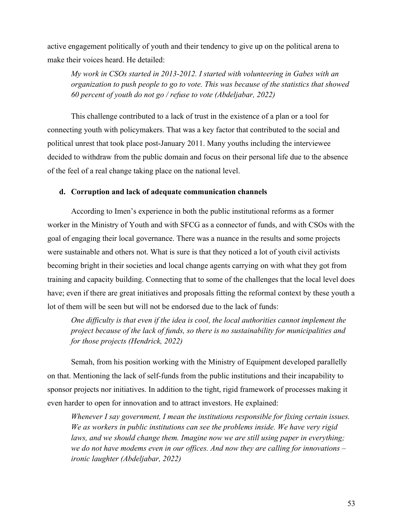active engagement politically of youth and their tendency to give up on the political arena to make their voices heard. He detailed:

*My work in CSOs started in 2013-2012. I started with volunteering in Gabes with an organization to push people to go to vote. This was because of the statistics that showed 60 percent of youth do not go / refuse to vote (Abdeljabar, 2022)*

This challenge contributed to a lack of trust in the existence of a plan or a tool for connecting youth with policymakers. That was a key factor that contributed to the social and political unrest that took place post-January 2011. Many youths including the interviewee decided to withdraw from the public domain and focus on their personal life due to the absence of the feel of a real change taking place on the national level.

# **d. Corruption and lack of adequate communication channels**

According to Imen's experience in both the public institutional reforms as a former worker in the Ministry of Youth and with SFCG as a connector of funds, and with CSOs with the goal of engaging their local governance. There was a nuance in the results and some projects were sustainable and others not. What is sure is that they noticed a lot of youth civil activists becoming bright in their societies and local change agents carrying on with what they got from training and capacity building. Connecting that to some of the challenges that the local level does have; even if there are great initiatives and proposals fitting the reformal context by these youth a lot of them will be seen but will not be endorsed due to the lack of funds:

*One difficulty is that even if the idea is cool, the local authorities cannot implement the project because of the lack of funds, so there is no sustainability for municipalities and for those projects (Hendrick, 2022)*

Semah, from his position working with the Ministry of Equipment developed parallelly on that. Mentioning the lack of self-funds from the public institutions and their incapability to sponsor projects nor initiatives. In addition to the tight, rigid framework of processes making it even harder to open for innovation and to attract investors. He explained:

*Whenever I say government, I mean the institutions responsible for fixing certain issues. We as workers in public institutions can see the problems inside. We have very rigid*  laws, and we should change them. Imagine now we are still using paper in everything; *we do not have modems even in our offices. And now they are calling for innovations – ironic laughter (Abdeljabar, 2022)*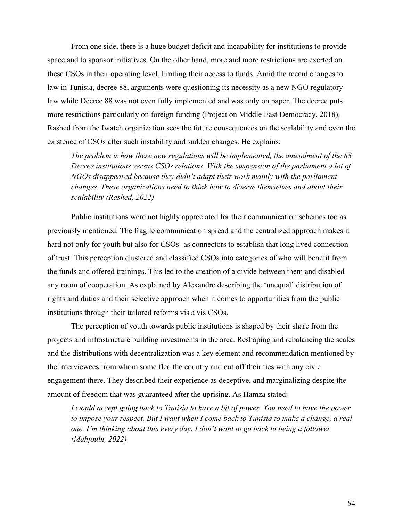From one side, there is a huge budget deficit and incapability for institutions to provide space and to sponsor initiatives. On the other hand, more and more restrictions are exerted on these CSOs in their operating level, limiting their access to funds. Amid the recent changes to law in Tunisia, decree 88, arguments were questioning its necessity as a new NGO regulatory law while Decree 88 was not even fully implemented and was only on paper. The decree puts more restrictions particularly on foreign funding (Project on Middle East Democracy, 2018). Rashed from the Iwatch organization sees the future consequences on the scalability and even the existence of CSOs after such instability and sudden changes. He explains:

*The problem is how these new regulations will be implemented, the amendment of the 88 Decree institutions versus CSOs relations. With the suspension of the parliament a lot of NGOs disappeared because they didn't adapt their work mainly with the parliament changes. These organizations need to think how to diverse themselves and about their scalability (Rashed, 2022)*

Public institutions were not highly appreciated for their communication schemes too as previously mentioned. The fragile communication spread and the centralized approach makes it hard not only for youth but also for CSOs- as connectors to establish that long lived connection of trust. This perception clustered and classified CSOs into categories of who will benefit from the funds and offered trainings. This led to the creation of a divide between them and disabled any room of cooperation. As explained by Alexandre describing the 'unequal' distribution of rights and duties and their selective approach when it comes to opportunities from the public institutions through their tailored reforms vis a vis CSOs.

The perception of youth towards public institutions is shaped by their share from the projects and infrastructure building investments in the area. Reshaping and rebalancing the scales and the distributions with decentralization was a key element and recommendation mentioned by the interviewees from whom some fled the country and cut off their ties with any civic engagement there. They described their experience as deceptive, and marginalizing despite the amount of freedom that was guaranteed after the uprising. As Hamza stated:

*I would accept going back to Tunisia to have a bit of power. You need to have the power to impose your respect. But I want when I come back to Tunisia to make a change, a real one. I'm thinking about this every day. I don't want to go back to being a follower (Mahjoubi, 2022)*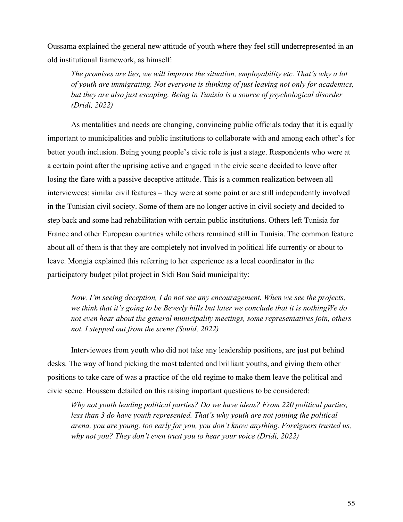Oussama explained the general new attitude of youth where they feel still underrepresented in an old institutional framework, as himself:

*The promises are lies, we will improve the situation, employability etc. That's why a lot of youth are immigrating. Not everyone is thinking of just leaving not only for academics, but they are also just escaping. Being in Tunisia is a source of psychological disorder (Dridi, 2022)*

As mentalities and needs are changing, convincing public officials today that it is equally important to municipalities and public institutions to collaborate with and among each other's for better youth inclusion. Being young people's civic role is just a stage. Respondents who were at a certain point after the uprising active and engaged in the civic scene decided to leave after losing the flare with a passive deceptive attitude. This is a common realization between all interviewees: similar civil features – they were at some point or are still independently involved in the Tunisian civil society. Some of them are no longer active in civil society and decided to step back and some had rehabilitation with certain public institutions. Others left Tunisia for France and other European countries while others remained still in Tunisia. The common feature about all of them is that they are completely not involved in political life currently or about to leave. Mongia explained this referring to her experience as a local coordinator in the participatory budget pilot project in Sidi Bou Said municipality:

*Now, I'm seeing deception, I do not see any encouragement. When we see the projects, we think that it's going to be Beverly hills but later we conclude that it is nothingWe do not even hear about the general municipality meetings, some representatives join, others not. I stepped out from the scene (Souid, 2022)*

Interviewees from youth who did not take any leadership positions, are just put behind desks. The way of hand picking the most talented and brilliant youths, and giving them other positions to take care of was a practice of the old regime to make them leave the political and civic scene. Houssem detailed on this raising important questions to be considered:

*Why not youth leading political parties? Do we have ideas? From 220 political parties,*  less than 3 do have youth represented. That's why youth are not joining the political *arena, you are young, too early for you, you don't know anything. Foreigners trusted us, why not you? They don't even trust you to hear your voice (Dridi, 2022)*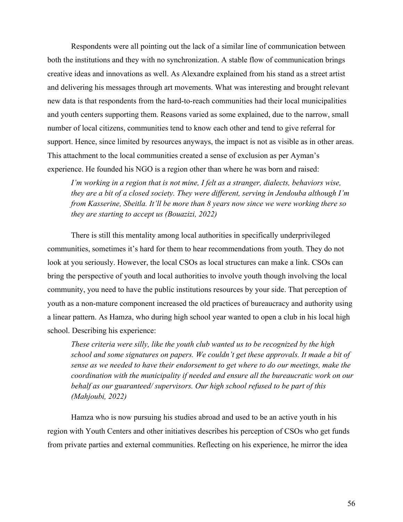Respondents were all pointing out the lack of a similar line of communication between both the institutions and they with no synchronization. A stable flow of communication brings creative ideas and innovations as well. As Alexandre explained from his stand as a street artist and delivering his messages through art movements. What was interesting and brought relevant new data is that respondents from the hard-to-reach communities had their local municipalities and youth centers supporting them. Reasons varied as some explained, due to the narrow, small number of local citizens, communities tend to know each other and tend to give referral for support. Hence, since limited by resources anyways, the impact is not as visible as in other areas. This attachment to the local communities created a sense of exclusion as per Ayman's experience. He founded his NGO is a region other than where he was born and raised:

*I'm working in a region that is not mine, I felt as a stranger, dialects, behaviors wise, they are a bit of a closed society. They were different, serving in Jendouba although I'm from Kasserine, Sbeitla. It'll be more than 8 years now since we were working there so they are starting to accept us (Bouazizi, 2022)*

There is still this mentality among local authorities in specifically underprivileged communities, sometimes it's hard for them to hear recommendations from youth. They do not look at you seriously. However, the local CSOs as local structures can make a link. CSOs can bring the perspective of youth and local authorities to involve youth though involving the local community, you need to have the public institutions resources by your side. That perception of youth as a non-mature component increased the old practices of bureaucracy and authority using a linear pattern. As Hamza, who during high school year wanted to open a club in his local high school. Describing his experience:

*These criteria were silly, like the youth club wanted us to be recognized by the high school and some signatures on papers. We couldn't get these approvals. It made a bit of sense as we needed to have their endorsement to get where to do our meetings, make the coordination with the municipality if needed and ensure all the bureaucratic work on our behalf as our guaranteed/ supervisors. Our high school refused to be part of this (Mahjoubi, 2022)*

Hamza who is now pursuing his studies abroad and used to be an active youth in his region with Youth Centers and other initiatives describes his perception of CSOs who get funds from private parties and external communities. Reflecting on his experience, he mirror the idea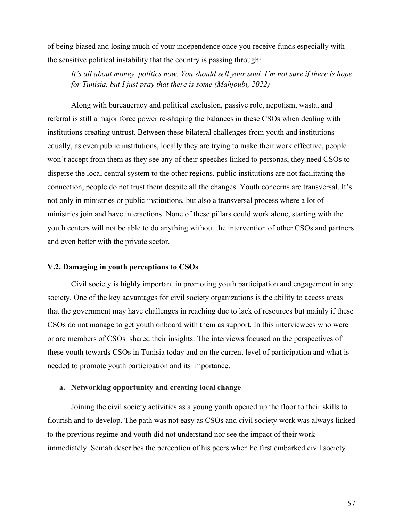of being biased and losing much of your independence once you receive funds especially with the sensitive political instability that the country is passing through:

*It's all about money, politics now. You should sell your soul. I'm not sure if there is hope for Tunisia, but I just pray that there is some (Mahjoubi, 2022)*

Along with bureaucracy and political exclusion, passive role, nepotism, wasta, and referral is still a major force power re-shaping the balances in these CSOs when dealing with institutions creating untrust. Between these bilateral challenges from youth and institutions equally, as even public institutions, locally they are trying to make their work effective, people won't accept from them as they see any of their speeches linked to personas, they need CSOs to disperse the local central system to the other regions. public institutions are not facilitating the connection, people do not trust them despite all the changes. Youth concerns are transversal. It's not only in ministries or public institutions, but also a transversal process where a lot of ministries join and have interactions. None of these pillars could work alone, starting with the youth centers will not be able to do anything without the intervention of other CSOs and partners and even better with the private sector.

## **V.2. Damaging in youth perceptions to CSOs**

Civil society is highly important in promoting youth participation and engagement in any society. One of the key advantages for civil society organizations is the ability to access areas that the government may have challenges in reaching due to lack of resources but mainly if these CSOs do not manage to get youth onboard with them as support. In this interviewees who were or are members of CSOs shared their insights. The interviews focused on the perspectives of these youth towards CSOs in Tunisia today and on the current level of participation and what is needed to promote youth participation and its importance.

## **a. Networking opportunity and creating local change**

Joining the civil society activities as a young youth opened up the floor to their skills to flourish and to develop. The path was not easy as CSOs and civil society work was always linked to the previous regime and youth did not understand nor see the impact of their work immediately. Semah describes the perception of his peers when he first embarked civil society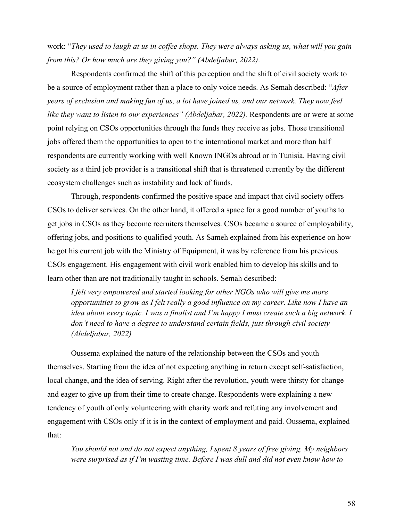work: "*They used to laugh at us in coffee shops. They were always asking us, what will you gain from this? Or how much are they giving you?" (Abdeljabar, 2022)*.

Respondents confirmed the shift of this perception and the shift of civil society work to be a source of employment rather than a place to only voice needs. As Semah described: "*After years of exclusion and making fun of us, a lot have joined us, and our network. They now feel like they want to listen to our experiences" (Abdeljabar, 2022).* Respondents are or were at some point relying on CSOs opportunities through the funds they receive as jobs. Those transitional jobs offered them the opportunities to open to the international market and more than half respondents are currently working with well Known INGOs abroad or in Tunisia. Having civil society as a third job provider is a transitional shift that is threatened currently by the different ecosystem challenges such as instability and lack of funds.

Through, respondents confirmed the positive space and impact that civil society offers CSOs to deliver services. On the other hand, it offered a space for a good number of youths to get jobs in CSOs as they become recruiters themselves. CSOs became a source of employability, offering jobs, and positions to qualified youth. As Sameh explained from his experience on how he got his current job with the Ministry of Equipment, it was by reference from his previous CSOs engagement. His engagement with civil work enabled him to develop his skills and to learn other than are not traditionally taught in schools. Semah described:

*I felt very empowered and started looking for other NGOs who will give me more opportunities to grow as I felt really a good influence on my career. Like now I have an idea about every topic. I was a finalist and I'm happy I must create such a big network. I don't need to have a degree to understand certain fields, just through civil society (Abdeljabar, 2022)*

Oussema explained the nature of the relationship between the CSOs and youth themselves. Starting from the idea of not expecting anything in return except self-satisfaction, local change, and the idea of serving. Right after the revolution, youth were thirsty for change and eager to give up from their time to create change. Respondents were explaining a new tendency of youth of only volunteering with charity work and refuting any involvement and engagement with CSOs only if it is in the context of employment and paid. Oussema, explained that:

*You should not and do not expect anything, I spent 8 years of free giving. My neighbors were surprised as if I'm wasting time. Before I was dull and did not even know how to*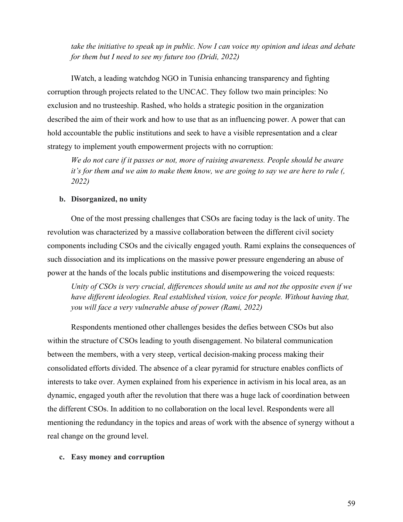*take the initiative to speak up in public. Now I can voice my opinion and ideas and debate for them but I need to see my future too (Dridi, 2022)*

IWatch, a leading watchdog NGO in Tunisia enhancing transparency and fighting corruption through projects related to the UNCAC. They follow two main principles: No exclusion and no trusteeship. Rashed, who holds a strategic position in the organization described the aim of their work and how to use that as an influencing power. A power that can hold accountable the public institutions and seek to have a visible representation and a clear strategy to implement youth empowerment projects with no corruption:

*We do not care if it passes or not, more of raising awareness. People should be aware it's for them and we aim to make them know, we are going to say we are here to rule (, 2022)*

# **b. Disorganized, no unity**

One of the most pressing challenges that CSOs are facing today is the lack of unity. The revolution was characterized by a massive collaboration between the different civil society components including CSOs and the civically engaged youth. Rami explains the consequences of such dissociation and its implications on the massive power pressure engendering an abuse of power at the hands of the locals public institutions and disempowering the voiced requests:

*Unity of CSOs is very crucial, differences should unite us and not the opposite even if we have different ideologies. Real established vision, voice for people. Without having that, you will face a very vulnerable abuse of power (Rami, 2022)*

Respondents mentioned other challenges besides the defies between CSOs but also within the structure of CSOs leading to youth disengagement. No bilateral communication between the members, with a very steep, vertical decision-making process making their consolidated efforts divided. The absence of a clear pyramid for structure enables conflicts of interests to take over. Aymen explained from his experience in activism in his local area, as an dynamic, engaged youth after the revolution that there was a huge lack of coordination between the different CSOs. In addition to no collaboration on the local level. Respondents were all mentioning the redundancy in the topics and areas of work with the absence of synergy without a real change on the ground level.

## **c. Easy money and corruption**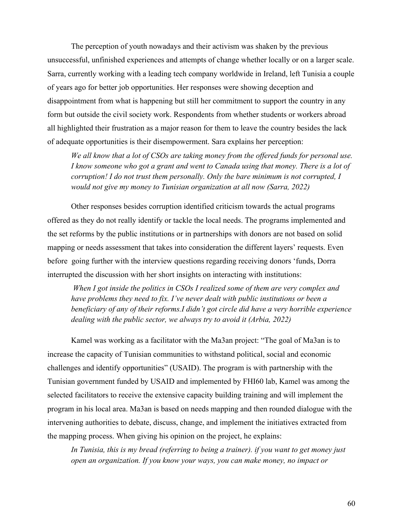The perception of youth nowadays and their activism was shaken by the previous unsuccessful, unfinished experiences and attempts of change whether locally or on a larger scale. Sarra, currently working with a leading tech company worldwide in Ireland, left Tunisia a couple of years ago for better job opportunities. Her responses were showing deception and disappointment from what is happening but still her commitment to support the country in any form but outside the civil society work. Respondents from whether students or workers abroad all highlighted their frustration as a major reason for them to leave the country besides the lack of adequate opportunities is their disempowerment. Sara explains her perception:

*We all know that a lot of CSOs are taking money from the offered funds for personal use. I know someone who got a grant and went to Canada using that money. There is a lot of corruption! I do not trust them personally. Only the bare minimum is not corrupted, I would not give my money to Tunisian organization at all now (Sarra, 2022)*

Other responses besides corruption identified criticism towards the actual programs offered as they do not really identify or tackle the local needs. The programs implemented and the set reforms by the public institutions or in partnerships with donors are not based on solid mapping or needs assessment that takes into consideration the different layers' requests. Even before going further with the interview questions regarding receiving donors 'funds, Dorra interrupted the discussion with her short insights on interacting with institutions:

*When I got inside the politics in CSOs I realized some of them are very complex and have problems they need to fix. I've never dealt with public institutions or been a beneficiary of any of their reforms.I didn't got circle did have a very horrible experience dealing with the public sector, we always try to avoid it (Arbia, 2022)*

Kamel was working as a facilitator with the Ma3an project: "The goal of Ma3an is to increase the capacity of Tunisian communities to withstand political, social and economic challenges and identify opportunities" (USAID). The program is with partnership with the Tunisian government funded by USAID and implemented by FHI60 lab, Kamel was among the selected facilitators to receive the extensive capacity building training and will implement the program in his local area. Ma3an is based on needs mapping and then rounded dialogue with the intervening authorities to debate, discuss, change, and implement the initiatives extracted from the mapping process. When giving his opinion on the project, he explains:

*In Tunisia, this is my bread (referring to being a trainer). if you want to get money just open an organization. If you know your ways, you can make money, no impact or*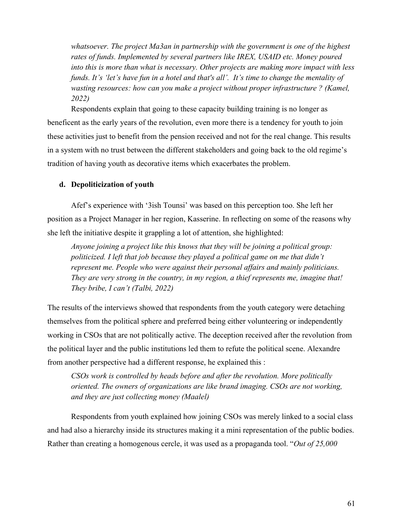*whatsoever. The project Ma3an in partnership with the government is one of the highest rates of funds. Implemented by several partners like IREX, USAID etc. Money poured into this is more than what is necessary. Other projects are making more impact with less funds. It's 'let's have fun in a hotel and that's all'. It's time to change the mentality of wasting resources: how can you make a project without proper infrastructure ? (Kamel, 2022)*

Respondents explain that going to these capacity building training is no longer as beneficent as the early years of the revolution, even more there is a tendency for youth to join these activities just to benefit from the pension received and not for the real change. This results in a system with no trust between the different stakeholders and going back to the old regime's tradition of having youth as decorative items which exacerbates the problem.

# **d. Depoliticization of youth**

Afef's experience with '3ish Tounsi' was based on this perception too. She left her position as a Project Manager in her region, Kasserine. In reflecting on some of the reasons why she left the initiative despite it grappling a lot of attention, she highlighted:

*Anyone joining a project like this knows that they will be joining a political group: politicized. I left that job because they played a political game on me that didn't represent me. People who were against their personal affairs and mainly politicians. They are very strong in the country, in my region, a thief represents me, imagine that! They bribe, I can't (Talbi, 2022)*

The results of the interviews showed that respondents from the youth category were detaching themselves from the political sphere and preferred being either volunteering or independently working in CSOs that are not politically active. The deception received after the revolution from the political layer and the public institutions led them to refute the political scene. Alexandre from another perspective had a different response, he explained this :

*CSOs work is controlled by heads before and after the revolution. More politically oriented. The owners of organizations are like brand imaging. CSOs are not working, and they are just collecting money (Maalel)*

Respondents from youth explained how joining CSOs was merely linked to a social class and had also a hierarchy inside its structures making it a mini representation of the public bodies. Rather than creating a homogenous cercle, it was used as a propaganda tool. "*Out of 25,000*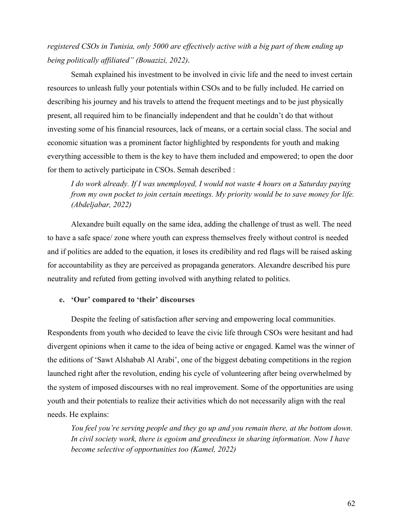# *registered CSOs in Tunisia, only 5000 are effectively active with a big part of them ending up being politically affiliated" (Bouazizi, 2022).*

Semah explained his investment to be involved in civic life and the need to invest certain resources to unleash fully your potentials within CSOs and to be fully included. He carried on describing his journey and his travels to attend the frequent meetings and to be just physically present, all required him to be financially independent and that he couldn't do that without investing some of his financial resources, lack of means, or a certain social class. The social and economic situation was a prominent factor highlighted by respondents for youth and making everything accessible to them is the key to have them included and empowered; to open the door for them to actively participate in CSOs. Semah described :

*I do work already. If I was unemployed, I would not waste 4 hours on a Saturday paying from my own pocket to join certain meetings. My priority would be to save money for life. (Abdeljabar, 2022)*

Alexandre built equally on the same idea, adding the challenge of trust as well. The need to have a safe space/ zone where youth can express themselves freely without control is needed and if politics are added to the equation, it loses its credibility and red flags will be raised asking for accountability as they are perceived as propaganda generators. Alexandre described his pure neutrality and refuted from getting involved with anything related to politics.

## **e. 'Our' compared to 'their' discourses**

Despite the feeling of satisfaction after serving and empowering local communities. Respondents from youth who decided to leave the civic life through CSOs were hesitant and had divergent opinions when it came to the idea of being active or engaged. Kamel was the winner of the editions of 'Sawt Alshabab Al Arabi', one of the biggest debating competitions in the region launched right after the revolution, ending his cycle of volunteering after being overwhelmed by the system of imposed discourses with no real improvement. Some of the opportunities are using youth and their potentials to realize their activities which do not necessarily align with the real needs. He explains:

*You feel you're serving people and they go up and you remain there, at the bottom down. In civil society work, there is egoism and greediness in sharing information. Now I have become selective of opportunities too (Kamel, 2022)*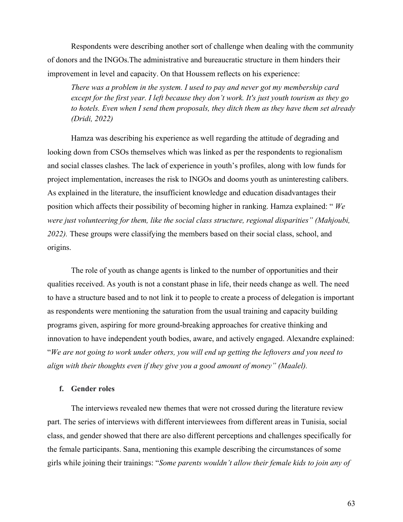Respondents were describing another sort of challenge when dealing with the community of donors and the INGOs.The administrative and bureaucratic structure in them hinders their improvement in level and capacity. On that Houssem reflects on his experience:

*There was a problem in the system. I used to pay and never got my membership card except for the first year. I left because they don't work. It's just youth tourism as they go to hotels. Even when I send them proposals, they ditch them as they have them set already (Dridi, 2022)*

Hamza was describing his experience as well regarding the attitude of degrading and looking down from CSOs themselves which was linked as per the respondents to regionalism and social classes clashes. The lack of experience in youth's profiles, along with low funds for project implementation, increases the risk to INGOs and dooms youth as uninteresting calibers. As explained in the literature, the insufficient knowledge and education disadvantages their position which affects their possibility of becoming higher in ranking. Hamza explained: " *We were just volunteering for them, like the social class structure, regional disparities" (Mahjoubi, 2022).* These groups were classifying the members based on their social class, school, and origins.

The role of youth as change agents is linked to the number of opportunities and their qualities received. As youth is not a constant phase in life, their needs change as well. The need to have a structure based and to not link it to people to create a process of delegation is important as respondents were mentioning the saturation from the usual training and capacity building programs given, aspiring for more ground-breaking approaches for creative thinking and innovation to have independent youth bodies, aware, and actively engaged. Alexandre explained: "*We are not going to work under others, you will end up getting the leftovers and you need to align with their thoughts even if they give you a good amount of money" (Maalel).*

## **f. Gender roles**

The interviews revealed new themes that were not crossed during the literature review part. The series of interviews with different interviewees from different areas in Tunisia, social class, and gender showed that there are also different perceptions and challenges specifically for the female participants. Sana, mentioning this example describing the circumstances of some girls while joining their trainings: "*Some parents wouldn't allow their female kids to join any of*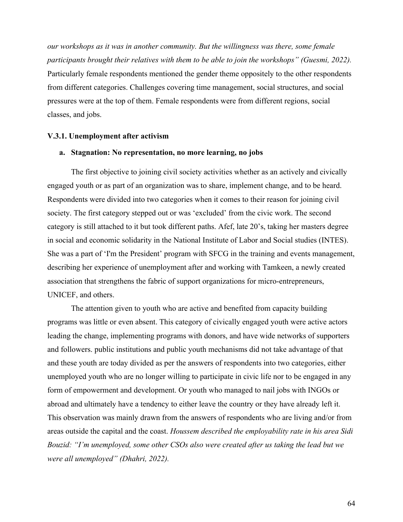*our workshops as it was in another community. But the willingness was there, some female participants brought their relatives with them to be able to join the workshops" (Guesmi, 2022).* Particularly female respondents mentioned the gender theme oppositely to the other respondents from different categories. Challenges covering time management, social structures, and social pressures were at the top of them. Female respondents were from different regions, social classes, and jobs.

#### **V.3.1. Unemployment after activism**

## **a. Stagnation: No representation, no more learning, no jobs**

The first objective to joining civil society activities whether as an actively and civically engaged youth or as part of an organization was to share, implement change, and to be heard. Respondents were divided into two categories when it comes to their reason for joining civil society. The first category stepped out or was 'excluded' from the civic work. The second category is still attached to it but took different paths. Afef, late 20's, taking her masters degree in social and economic solidarity in the National Institute of Labor and Social studies (INTES). She was a part of 'I'm the President' program with SFCG in the training and events management, describing her experience of unemployment after and working with Tamkeen, a newly created association that strengthens the fabric of support organizations for micro-entrepreneurs, UNICEF, and others.

The attention given to youth who are active and benefited from capacity building programs was little or even absent. This category of civically engaged youth were active actors leading the change, implementing programs with donors, and have wide networks of supporters and followers. public institutions and public youth mechanisms did not take advantage of that and these youth are today divided as per the answers of respondents into two categories, either unemployed youth who are no longer willing to participate in civic life nor to be engaged in any form of empowerment and development. Or youth who managed to nail jobs with INGOs or abroad and ultimately have a tendency to either leave the country or they have already left it. This observation was mainly drawn from the answers of respondents who are living and/or from areas outside the capital and the coast. *Houssem described the employability rate in his area Sidi Bouzid: "I'm unemployed, some other CSOs also were created after us taking the lead but we were all unemployed" (Dhahri, 2022).*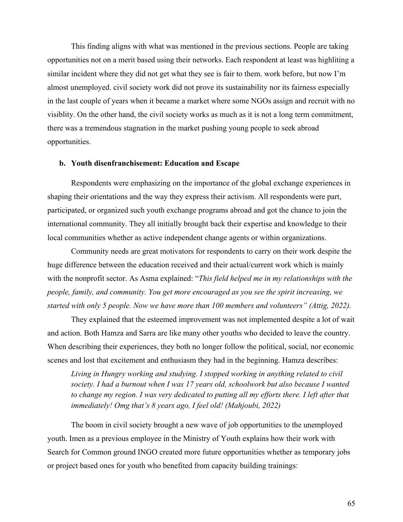This finding aligns with what was mentioned in the previous sections. People are taking opportunities not on a merit based using their networks. Each respondent at least was highliting a similar incident where they did not get what they see is fair to them. work before, but now I'm almost unemployed. civil society work did not prove its sustainability nor its fairness especially in the last couple of years when it became a market where some NGOs assign and recruit with no visiblity. On the other hand, the civil society works as much as it is not a long term commitment, there was a tremendous stagnation in the market pushing young people to seek abroad opportunities.

## **b. Youth disenfranchisement: Education and Escape**

Respondents were emphasizing on the importance of the global exchange experiences in shaping their orientations and the way they express their activism. All respondents were part, participated, or organized such youth exchange programs abroad and got the chance to join the international community. They all initially brought back their expertise and knowledge to their local communities whether as active independent change agents or within organizations.

Community needs are great motivators for respondents to carry on their work despite the huge difference between the education received and their actual/current work which is mainly with the nonprofit sector. As Asma explained: "*This field helped me in my relationships with the people, family, and community. You get more encouraged as you see the spirit increasing, we started with only 5 people. Now we have more than 100 members and volunteers" (Attig, 2022).*

They explained that the esteemed improvement was not implemented despite a lot of wait and action. Both Hamza and Sarra are like many other youths who decided to leave the country. When describing their experiences, they both no longer follow the political, social, nor economic scenes and lost that excitement and enthusiasm they had in the beginning. Hamza describes:

*Living in Hungry working and studying. I stopped working in anything related to civil society. I had a burnout when I was 17 years old, schoolwork but also because I wanted*  to change my region. I was very dedicated to putting all my efforts there. I left after that *immediately! Omg that's 8 years ago, I feel old! (Mahjoubi, 2022)*

The boom in civil society brought a new wave of job opportunities to the unemployed youth. Imen as a previous employee in the Ministry of Youth explains how their work with Search for Common ground INGO created more future opportunities whether as temporary jobs or project based ones for youth who benefited from capacity building trainings: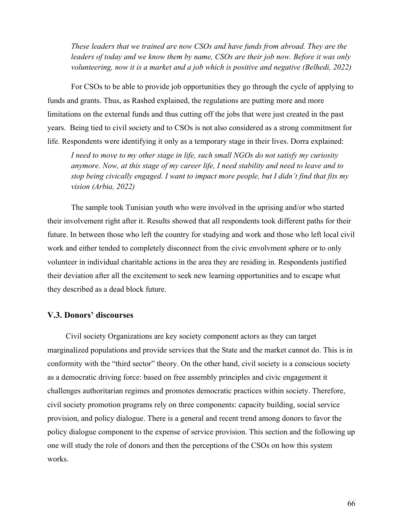*These leaders that we trained are now CSOs and have funds from abroad. They are the leaders of today and we know them by name, CSOs are their job now. Before it was only volunteering, now it is a market and a job which is positive and negative (Belhedi, 2022)*

For CSOs to be able to provide job opportunities they go through the cycle of applying to funds and grants. Thus, as Rashed explained, the regulations are putting more and more limitations on the external funds and thus cutting off the jobs that were just created in the past years. Being tied to civil society and to CSOs is not also considered as a strong commitment for life. Respondents were identifying it only as a temporary stage in their lives. Dorra explained:

*I need to move to my other stage in life, such small NGOs do not satisfy my curiosity anymore. Now, at this stage of my career life, I need stability and need to leave and to stop being civically engaged. I want to impact more people, but I didn't find that fits my vision (Arbia, 2022)*

The sample took Tunisian youth who were involved in the uprising and/or who started their involvement right after it. Results showed that all respondents took different paths for their future. In between those who left the country for studying and work and those who left local civil work and either tended to completely disconnect from the civic envolvment sphere or to only volunteer in individual charitable actions in the area they are residing in. Respondents justified their deviation after all the excitement to seek new learning opportunities and to escape what they described as a dead block future.

# **V.3. Donors' discourses**

Civil society Organizations are key society component actors as they can target marginalized populations and provide services that the State and the market cannot do. This is in conformity with the "third sector" theory. On the other hand, civil society is a conscious society as a democratic driving force: based on free assembly principles and civic engagement it challenges authoritarian regimes and promotes democratic practices within society. Therefore, civil society promotion programs rely on three components: capacity building, social service provision, and policy dialogue. There is a general and recent trend among donors to favor the policy dialogue component to the expense of service provision. This section and the following up one will study the role of donors and then the perceptions of the CSOs on how this system works.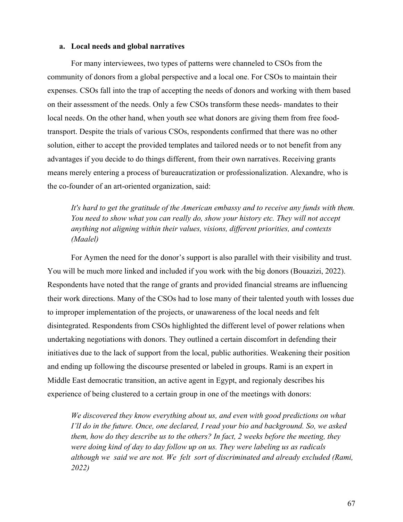#### **a. Local needs and global narratives**

For many interviewees, two types of patterns were channeled to CSOs from the community of donors from a global perspective and a local one. For CSOs to maintain their expenses. CSOs fall into the trap of accepting the needs of donors and working with them based on their assessment of the needs. Only a few CSOs transform these needs- mandates to their local needs. On the other hand, when youth see what donors are giving them from free foodtransport. Despite the trials of various CSOs, respondents confirmed that there was no other solution, either to accept the provided templates and tailored needs or to not benefit from any advantages if you decide to do things different, from their own narratives. Receiving grants means merely entering a process of bureaucratization or professionalization. Alexandre, who is the co-founder of an art-oriented organization, said:

*It's hard to get the gratitude of the American embassy and to receive any funds with them. You need to show what you can really do, show your history etc. They will not accept anything not aligning within their values, visions, different priorities, and contexts (Maalel)*

For Aymen the need for the donor's support is also parallel with their visibility and trust. You will be much more linked and included if you work with the big donors (Bouazizi, 2022). Respondents have noted that the range of grants and provided financial streams are influencing their work directions. Many of the CSOs had to lose many of their talented youth with losses due to improper implementation of the projects, or unawareness of the local needs and felt disintegrated. Respondents from CSOs highlighted the different level of power relations when undertaking negotiations with donors. They outlined a certain discomfort in defending their initiatives due to the lack of support from the local, public authorities. Weakening their position and ending up following the discourse presented or labeled in groups. Rami is an expert in Middle East democratic transition, an active agent in Egypt, and regionaly describes his experience of being clustered to a certain group in one of the meetings with donors:

*We discovered they know everything about us, and even with good predictions on what I'lI do in the future. Once, one declared, I read your bio and background. So, we asked them, how do they describe us to the others? In fact, 2 weeks before the meeting, they were doing kind of day to day follow up on us. They were labeling us as radicals although we said we are not. We felt sort of discriminated and already excluded (Rami, 2022)*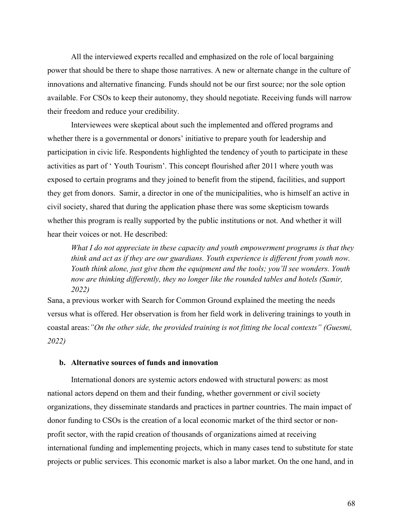All the interviewed experts recalled and emphasized on the role of local bargaining power that should be there to shape those narratives. A new or alternate change in the culture of innovations and alternative financing. Funds should not be our first source; nor the sole option available. For CSOs to keep their autonomy, they should negotiate. Receiving funds will narrow their freedom and reduce your credibility.

Interviewees were skeptical about such the implemented and offered programs and whether there is a governmental or donors' initiative to prepare youth for leadership and participation in civic life. Respondents highlighted the tendency of youth to participate in these activities as part of ' Youth Tourism'. This concept flourished after 2011 where youth was exposed to certain programs and they joined to benefit from the stipend, facilities, and support they get from donors. Samir, a director in one of the municipalities, who is himself an active in civil society, shared that during the application phase there was some skepticism towards whether this program is really supported by the public institutions or not. And whether it will hear their voices or not. He described:

*What I do not appreciate in these capacity and youth empowerment programs is that they think and act as if they are our guardians. Youth experience is different from youth now. Youth think alone, just give them the equipment and the tools; you'll see wonders. Youth now are thinking differently, they no longer like the rounded tables and hotels (Samir, 2022)*

Sana, a previous worker with Search for Common Ground explained the meeting the needs versus what is offered. Her observation is from her field work in delivering trainings to youth in coastal areas:*"On the other side, the provided training is not fitting the local contexts" (Guesmi, 2022)*

# **b. Alternative sources of funds and innovation**

International donors are systemic actors endowed with structural powers: as most national actors depend on them and their funding, whether government or civil society organizations, they disseminate standards and practices in partner countries. The main impact of donor funding to CSOs is the creation of a local economic market of the third sector or nonprofit sector, with the rapid creation of thousands of organizations aimed at receiving international funding and implementing projects, which in many cases tend to substitute for state projects or public services. This economic market is also a labor market. On the one hand, and in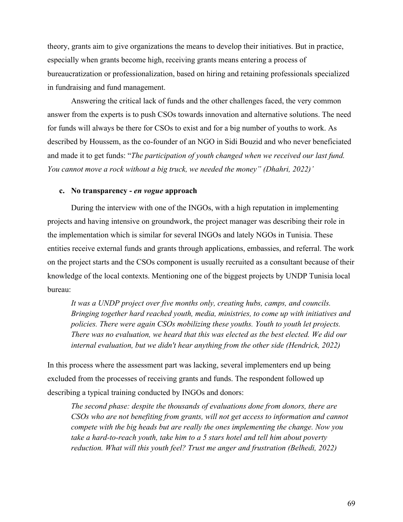theory, grants aim to give organizations the means to develop their initiatives. But in practice, especially when grants become high, receiving grants means entering a process of bureaucratization or professionalization, based on hiring and retaining professionals specialized in fundraising and fund management.

Answering the critical lack of funds and the other challenges faced, the very common answer from the experts is to push CSOs towards innovation and alternative solutions. The need for funds will always be there for CSOs to exist and for a big number of youths to work. As described by Houssem, as the co-founder of an NGO in Sidi Bouzid and who never beneficiated and made it to get funds: "*The participation of youth changed when we received our last fund. You cannot move a rock without a big truck, we needed the money" (Dhahri, 2022)'*

## **c. No transparency -** *en vogue* **approach**

During the interview with one of the INGOs, with a high reputation in implementing projects and having intensive on groundwork, the project manager was describing their role in the implementation which is similar for several INGOs and lately NGOs in Tunisia. These entities receive external funds and grants through applications, embassies, and referral. The work on the project starts and the CSOs component is usually recruited as a consultant because of their knowledge of the local contexts. Mentioning one of the biggest projects by UNDP Tunisia local bureau:

*It was a UNDP project over five months only, creating hubs, camps, and councils. Bringing together hard reached youth, media, ministries, to come up with initiatives and policies. There were again CSOs mobilizing these youths. Youth to youth let projects. There was no evaluation, we heard that this was elected as the best elected. We did our internal evaluation, but we didn't hear anything from the other side (Hendrick, 2022)*

In this process where the assessment part was lacking, several implementers end up being excluded from the processes of receiving grants and funds. The respondent followed up describing a typical training conducted by INGOs and donors:

*The second phase: despite the thousands of evaluations done from donors, there are CSOs who are not benefiting from grants, will not get access to information and cannot compete with the big heads but are really the ones implementing the change. Now you take a hard-to-reach youth, take him to a 5 stars hotel and tell him about poverty reduction. What will this youth feel? Trust me anger and frustration (Belhedi, 2022)*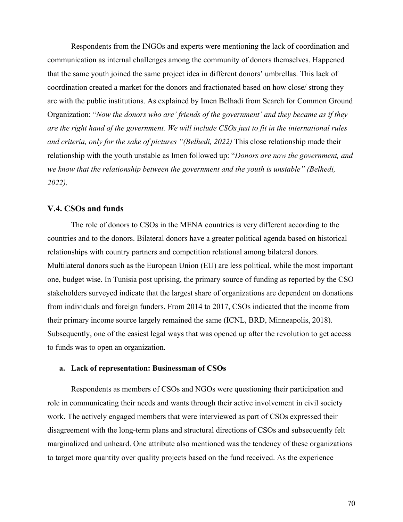Respondents from the INGOs and experts were mentioning the lack of coordination and communication as internal challenges among the community of donors themselves. Happened that the same youth joined the same project idea in different donors' umbrellas. This lack of coordination created a market for the donors and fractionated based on how close/ strong they are with the public institutions. As explained by Imen Belhadi from Search for Common Ground Organization: "*Now the donors who are' friends of the government' and they became as if they are the right hand of the government. We will include CSOs just to fit in the international rules and criteria, only for the sake of pictures "(Belhedi, 2022)* This close relationship made their relationship with the youth unstable as Imen followed up: "*Donors are now the government, and we know that the relationship between the government and the youth is unstable" (Belhedi, 2022).*

## **V.4. CSOs and funds**

The role of donors to CSOs in the MENA countries is very different according to the countries and to the donors. Bilateral donors have a greater political agenda based on historical relationships with country partners and competition relational among bilateral donors. Multilateral donors such as the European Union (EU) are less political, while the most important one, budget wise. In Tunisia post uprising, the primary source of funding as reported by the CSO stakeholders surveyed indicate that the largest share of organizations are dependent on donations from individuals and foreign funders. From 2014 to 2017, CSOs indicated that the income from their primary income source largely remained the same (ICNL, BRD, Minneapolis, 2018). Subsequently, one of the easiest legal ways that was opened up after the revolution to get access to funds was to open an organization.

## **a. Lack of representation: Businessman of CSOs**

Respondents as members of CSOs and NGOs were questioning their participation and role in communicating their needs and wants through their active involvement in civil society work. The actively engaged members that were interviewed as part of CSOs expressed their disagreement with the long-term plans and structural directions of CSOs and subsequently felt marginalized and unheard. One attribute also mentioned was the tendency of these organizations to target more quantity over quality projects based on the fund received. As the experience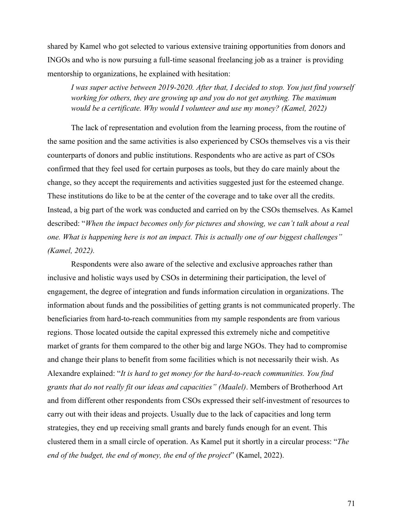shared by Kamel who got selected to various extensive training opportunities from donors and INGOs and who is now pursuing a full-time seasonal freelancing job as a trainer is providing mentorship to organizations, he explained with hesitation:

*I was super active between 2019-2020. After that, I decided to stop. You just find yourself working for others, they are growing up and you do not get anything. The maximum would be a certificate. Why would I volunteer and use my money? (Kamel, 2022)*

The lack of representation and evolution from the learning process, from the routine of the same position and the same activities is also experienced by CSOs themselves vis a vis their counterparts of donors and public institutions. Respondents who are active as part of CSOs confirmed that they feel used for certain purposes as tools, but they do care mainly about the change, so they accept the requirements and activities suggested just for the esteemed change. These institutions do like to be at the center of the coverage and to take over all the credits. Instead, a big part of the work was conducted and carried on by the CSOs themselves. As Kamel described: "*When the impact becomes only for pictures and showing, we can't talk about a real one. What is happening here is not an impact. This is actually one of our biggest challenges" (Kamel, 2022).*

Respondents were also aware of the selective and exclusive approaches rather than inclusive and holistic ways used by CSOs in determining their participation, the level of engagement, the degree of integration and funds information circulation in organizations. The information about funds and the possibilities of getting grants is not communicated properly. The beneficiaries from hard-to-reach communities from my sample respondents are from various regions. Those located outside the capital expressed this extremely niche and competitive market of grants for them compared to the other big and large NGOs. They had to compromise and change their plans to benefit from some facilities which is not necessarily their wish. As Alexandre explained: "*It is hard to get money for the hard-to-reach communities. You find grants that do not really fit our ideas and capacities" (Maalel)*. Members of Brotherhood Art and from different other respondents from CSOs expressed their self-investment of resources to carry out with their ideas and projects. Usually due to the lack of capacities and long term strategies, they end up receiving small grants and barely funds enough for an event. This clustered them in a small circle of operation. As Kamel put it shortly in a circular process: "*The end of the budget, the end of money, the end of the project*" (Kamel, 2022).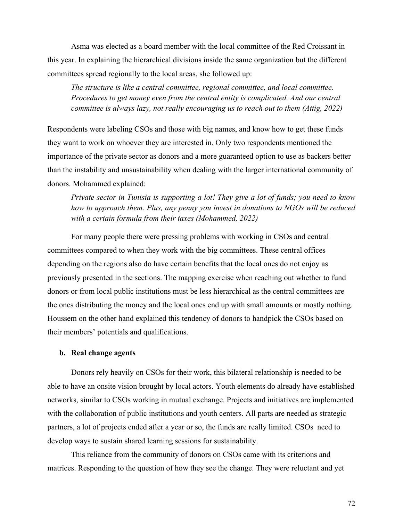Asma was elected as a board member with the local committee of the Red Croissant in this year. In explaining the hierarchical divisions inside the same organization but the different committees spread regionally to the local areas, she followed up:

*The structure is like a central committee, regional committee, and local committee. Procedures to get money even from the central entity is complicated. And our central committee is always lazy, not really encouraging us to reach out to them (Attig, 2022)*

Respondents were labeling CSOs and those with big names, and know how to get these funds they want to work on whoever they are interested in. Only two respondents mentioned the importance of the private sector as donors and a more guaranteed option to use as backers better than the instability and unsustainability when dealing with the larger international community of donors. Mohammed explained:

*Private sector in Tunisia is supporting a lot! They give a lot of funds; you need to know how to approach them. Plus, any penny you invest in donations to NGOs will be reduced with a certain formula from their taxes (Mohammed, 2022)*

For many people there were pressing problems with working in CSOs and central committees compared to when they work with the big committees. These central offices depending on the regions also do have certain benefits that the local ones do not enjoy as previously presented in the sections. The mapping exercise when reaching out whether to fund donors or from local public institutions must be less hierarchical as the central committees are the ones distributing the money and the local ones end up with small amounts or mostly nothing. Houssem on the other hand explained this tendency of donors to handpick the CSOs based on their members' potentials and qualifications.

# **b. Real change agents**

Donors rely heavily on CSOs for their work, this bilateral relationship is needed to be able to have an onsite vision brought by local actors. Youth elements do already have established networks, similar to CSOs working in mutual exchange. Projects and initiatives are implemented with the collaboration of public institutions and youth centers. All parts are needed as strategic partners, a lot of projects ended after a year or so, the funds are really limited. CSOs need to develop ways to sustain shared learning sessions for sustainability.

This reliance from the community of donors on CSOs came with its criterions and matrices. Responding to the question of how they see the change. They were reluctant and yet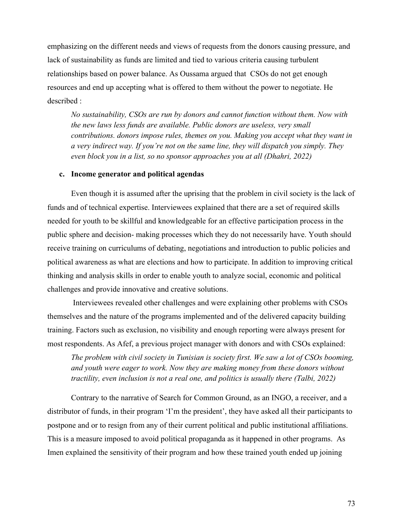emphasizing on the different needs and views of requests from the donors causing pressure, and lack of sustainability as funds are limited and tied to various criteria causing turbulent relationships based on power balance. As Oussama argued that CSOs do not get enough resources and end up accepting what is offered to them without the power to negotiate. He described :

*No sustainability, CSOs are run by donors and cannot function without them. Now with the new laws less funds are available. Public donors are useless, very small contributions. donors impose rules, themes on you. Making you accept what they want in a very indirect way. If you're not on the same line, they will dispatch you simply. They even block you in a list, so no sponsor approaches you at all (Dhahri, 2022)*

### **c. Income generator and political agendas**

Even though it is assumed after the uprising that the problem in civil society is the lack of funds and of technical expertise. Interviewees explained that there are a set of required skills needed for youth to be skillful and knowledgeable for an effective participation process in the public sphere and decision- making processes which they do not necessarily have. Youth should receive training on curriculums of debating, negotiations and introduction to public policies and political awareness as what are elections and how to participate. In addition to improving critical thinking and analysis skills in order to enable youth to analyze social, economic and political challenges and provide innovative and creative solutions.

Interviewees revealed other challenges and were explaining other problems with CSOs themselves and the nature of the programs implemented and of the delivered capacity building training. Factors such as exclusion, no visibility and enough reporting were always present for most respondents. As Afef, a previous project manager with donors and with CSOs explained:

*The problem with civil society in Tunisian is society first. We saw a lot of CSOs booming, and youth were eager to work. Now they are making money from these donors without tractility, even inclusion is not a real one, and politics is usually there (Talbi, 2022)*

Contrary to the narrative of Search for Common Ground, as an INGO, a receiver, and a distributor of funds, in their program 'I'm the president', they have asked all their participants to postpone and or to resign from any of their current political and public institutional affiliations. This is a measure imposed to avoid political propaganda as it happened in other programs. As Imen explained the sensitivity of their program and how these trained youth ended up joining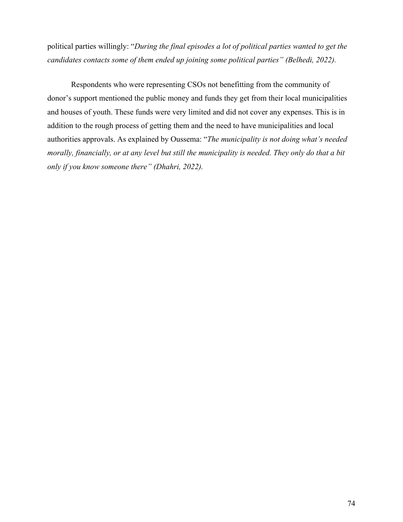political parties willingly: "*During the final episodes a lot of political parties wanted to get the candidates contacts some of them ended up joining some political parties" (Belhedi, 2022).*

Respondents who were representing CSOs not benefitting from the community of donor's support mentioned the public money and funds they get from their local municipalities and houses of youth. These funds were very limited and did not cover any expenses. This is in addition to the rough process of getting them and the need to have municipalities and local authorities approvals. As explained by Oussema: "*The municipality is not doing what's needed morally, financially, or at any level but still the municipality is needed. They only do that a bit only if you know someone there" (Dhahri, 2022).*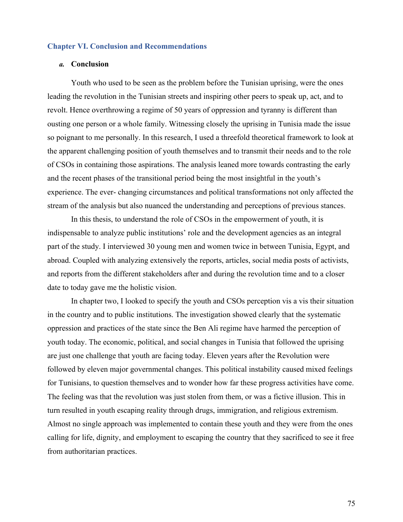### **Chapter VI. Conclusion and Recommendations**

#### *a.* **Conclusion**

Youth who used to be seen as the problem before the Tunisian uprising, were the ones leading the revolution in the Tunisian streets and inspiring other peers to speak up, act, and to revolt. Hence overthrowing a regime of 50 years of oppression and tyranny is different than ousting one person or a whole family. Witnessing closely the uprising in Tunisia made the issue so poignant to me personally. In this research, I used a threefold theoretical framework to look at the apparent challenging position of youth themselves and to transmit their needs and to the role of CSOs in containing those aspirations. The analysis leaned more towards contrasting the early and the recent phases of the transitional period being the most insightful in the youth's experience. The ever- changing circumstances and political transformations not only affected the stream of the analysis but also nuanced the understanding and perceptions of previous stances.

In this thesis, to understand the role of CSOs in the empowerment of youth, it is indispensable to analyze public institutions' role and the development agencies as an integral part of the study. I interviewed 30 young men and women twice in between Tunisia, Egypt, and abroad. Coupled with analyzing extensively the reports, articles, social media posts of activists, and reports from the different stakeholders after and during the revolution time and to a closer date to today gave me the holistic vision.

In chapter two, I looked to specify the youth and CSOs perception vis a vis their situation in the country and to public institutions. The investigation showed clearly that the systematic oppression and practices of the state since the Ben Ali regime have harmed the perception of youth today. The economic, political, and social changes in Tunisia that followed the uprising are just one challenge that youth are facing today. Eleven years after the Revolution were followed by eleven major governmental changes. This political instability caused mixed feelings for Tunisians, to question themselves and to wonder how far these progress activities have come. The feeling was that the revolution was just stolen from them, or was a fictive illusion. This in turn resulted in youth escaping reality through drugs, immigration, and religious extremism. Almost no single approach was implemented to contain these youth and they were from the ones calling for life, dignity, and employment to escaping the country that they sacrificed to see it free from authoritarian practices.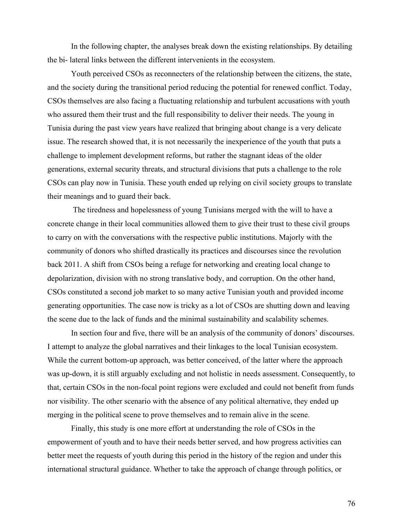In the following chapter, the analyses break down the existing relationships. By detailing the bi- lateral links between the different intervenients in the ecosystem.

Youth perceived CSOs as reconnecters of the relationship between the citizens, the state, and the society during the transitional period reducing the potential for renewed conflict. Today, CSOs themselves are also facing a fluctuating relationship and turbulent accusations with youth who assured them their trust and the full responsibility to deliver their needs. The young in Tunisia during the past view years have realized that bringing about change is a very delicate issue. The research showed that, it is not necessarily the inexperience of the youth that puts a challenge to implement development reforms, but rather the stagnant ideas of the older generations, external security threats, and structural divisions that puts a challenge to the role CSOs can play now in Tunisia. These youth ended up relying on civil society groups to translate their meanings and to guard their back.

The tiredness and hopelessness of young Tunisians merged with the will to have a concrete change in their local communities allowed them to give their trust to these civil groups to carry on with the conversations with the respective public institutions. Majorly with the community of donors who shifted drastically its practices and discourses since the revolution back 2011. A shift from CSOs being a refuge for networking and creating local change to depolarization, division with no strong translative body, and corruption. On the other hand, CSOs constituted a second job market to so many active Tunisian youth and provided income generating opportunities. The case now is tricky as a lot of CSOs are shutting down and leaving the scene due to the lack of funds and the minimal sustainability and scalability schemes.

In section four and five, there will be an analysis of the community of donors' discourses. I attempt to analyze the global narratives and their linkages to the local Tunisian ecosystem. While the current bottom-up approach, was better conceived, of the latter where the approach was up-down, it is still arguably excluding and not holistic in needs assessment. Consequently, to that, certain CSOs in the non-focal point regions were excluded and could not benefit from funds nor visibility. The other scenario with the absence of any political alternative, they ended up merging in the political scene to prove themselves and to remain alive in the scene.

Finally, this study is one more effort at understanding the role of CSOs in the empowerment of youth and to have their needs better served, and how progress activities can better meet the requests of youth during this period in the history of the region and under this international structural guidance. Whether to take the approach of change through politics, or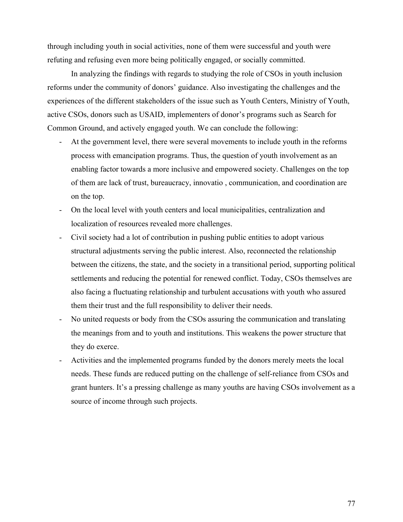through including youth in social activities, none of them were successful and youth were refuting and refusing even more being politically engaged, or socially committed.

In analyzing the findings with regards to studying the role of CSOs in youth inclusion reforms under the community of donors' guidance. Also investigating the challenges and the experiences of the different stakeholders of the issue such as Youth Centers, Ministry of Youth, active CSOs, donors such as USAID, implementers of donor's programs such as Search for Common Ground, and actively engaged youth. We can conclude the following:

- At the government level, there were several movements to include youth in the reforms process with emancipation programs. Thus, the question of youth involvement as an enabling factor towards a more inclusive and empowered society. Challenges on the top of them are lack of trust, bureaucracy, innovatio , communication, and coordination are on the top.
- On the local level with youth centers and local municipalities, centralization and localization of resources revealed more challenges.
- Civil society had a lot of contribution in pushing public entities to adopt various structural adjustments serving the public interest. Also, reconnected the relationship between the citizens, the state, and the society in a transitional period, supporting political settlements and reducing the potential for renewed conflict. Today, CSOs themselves are also facing a fluctuating relationship and turbulent accusations with youth who assured them their trust and the full responsibility to deliver their needs.
- No united requests or body from the CSOs assuring the communication and translating the meanings from and to youth and institutions. This weakens the power structure that they do exerce.
- Activities and the implemented programs funded by the donors merely meets the local needs. These funds are reduced putting on the challenge of self-reliance from CSOs and grant hunters. It's a pressing challenge as many youths are having CSOs involvement as a source of income through such projects.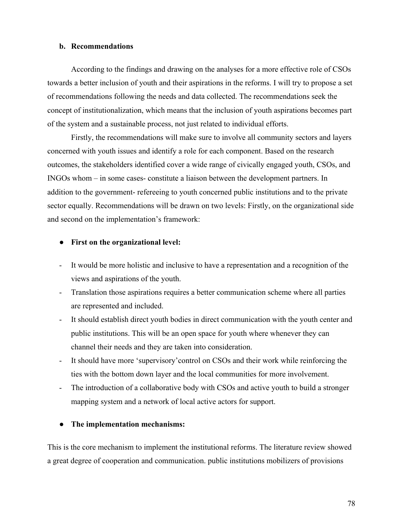### **b. Recommendations**

According to the findings and drawing on the analyses for a more effective role of CSOs towards a better inclusion of youth and their aspirations in the reforms. I will try to propose a set of recommendations following the needs and data collected. The recommendations seek the concept of institutionalization, which means that the inclusion of youth aspirations becomes part of the system and a sustainable process, not just related to individual efforts.

Firstly, the recommendations will make sure to involve all community sectors and layers concerned with youth issues and identify a role for each component. Based on the research outcomes, the stakeholders identified cover a wide range of civically engaged youth, CSOs, and INGOs whom – in some cases- constitute a liaison between the development partners. In addition to the government- refereeing to youth concerned public institutions and to the private sector equally. Recommendations will be drawn on two levels: Firstly, on the organizational side and second on the implementation's framework:

### ● **First on the organizational level:**

- It would be more holistic and inclusive to have a representation and a recognition of the views and aspirations of the youth.
- Translation those aspirations requires a better communication scheme where all parties are represented and included.
- It should establish direct youth bodies in direct communication with the youth center and public institutions. This will be an open space for youth where whenever they can channel their needs and they are taken into consideration.
- It should have more 'supervisory'control on CSOs and their work while reinforcing the ties with the bottom down layer and the local communities for more involvement.
- The introduction of a collaborative body with CSOs and active youth to build a stronger mapping system and a network of local active actors for support.

### ● **The implementation mechanisms:**

This is the core mechanism to implement the institutional reforms. The literature review showed a great degree of cooperation and communication. public institutions mobilizers of provisions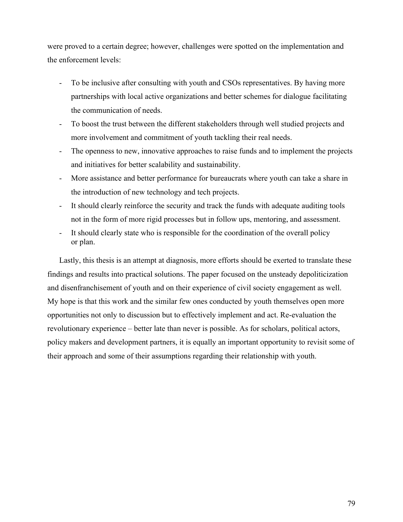were proved to a certain degree; however, challenges were spotted on the implementation and the enforcement levels:

- To be inclusive after consulting with youth and CSOs representatives. By having more partnerships with local active organizations and better schemes for dialogue facilitating the communication of needs.
- To boost the trust between the different stakeholders through well studied projects and more involvement and commitment of youth tackling their real needs.
- The openness to new, innovative approaches to raise funds and to implement the projects and initiatives for better scalability and sustainability.
- More assistance and better performance for bureaucrats where youth can take a share in the introduction of new technology and tech projects.
- It should clearly reinforce the security and track the funds with adequate auditing tools not in the form of more rigid processes but in follow ups, mentoring, and assessment.
- It should clearly state who is responsible for the coordination of the overall policy or plan.

Lastly, this thesis is an attempt at diagnosis, more efforts should be exerted to translate these findings and results into practical solutions. The paper focused on the unsteady depoliticization and disenfranchisement of youth and on their experience of civil society engagement as well. My hope is that this work and the similar few ones conducted by youth themselves open more opportunities not only to discussion but to effectively implement and act. Re-evaluation the revolutionary experience – better late than never is possible. As for scholars, political actors, policy makers and development partners, it is equally an important opportunity to revisit some of their approach and some of their assumptions regarding their relationship with youth.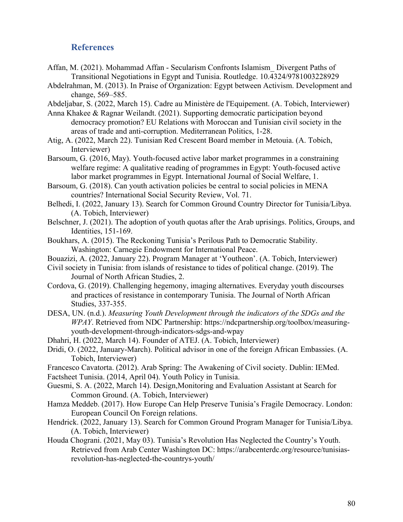# **References**

- Affan, M. (2021). Mohammad Affan Secularism Confronts Islamism\_ Divergent Paths of Transitional Negotiations in Egypt and Tunisia. Routledge. 10.4324/9781003228929
- Abdelrahman, M. (2013). In Praise of Organization: Egypt between Activism. Development and change, 569–585.
- Abdeljabar, S. (2022, March 15). Cadre au Ministère de l'Equipement. (A. Tobich, Interviewer)
- Anna Khakee & Ragnar Weilandt. (2021). Supporting democratic participation beyond democracy promotion? EU Relations with Moroccan and Tunisian civil society in the areas of trade and anti-corruption. Mediterranean Politics, 1-28.
- Atig, A. (2022, March 22). Tunisian Red Crescent Board member in Metouia. (A. Tobich, Interviewer)
- Barsoum, G. (2016, May). Youth-focused active labor market programmes in a constraining welfare regime: A qualitative reading of programmes in Egypt: Youth-focused active labor market programmes in Egypt. International Journal of Social Welfare, 1.
- Barsoum, G. (2018). Can youth activation policies be central to social policies in MENA countries? International Social Security Review, Vol. 71.
- Belhedi, I. (2022, January 13). Search for Common Ground Country Director for Tunisia/Libya. (A. Tobich, Interviewer)
- Belschner, J. (2021). The adoption of youth quotas after the Arab uprisings. Politics, Groups, and Identities, 151-169.
- Boukhars, A. (2015). The Reckoning Tunisia's Perilous Path to Democratic Stability. Washington: Carnegie Endowment for International Peace.
- Bouazizi, A. (2022, January 22). Program Manager at 'Youtheon'. (A. Tobich, Interviewer)
- Civil society in Tunisia: from islands of resistance to tides of political change. (2019). The Journal of North African Studies, 2.
- Cordova, G. (2019). Challenging hegemony, imaging alternatives. Everyday youth discourses and practices of resistance in contemporary Tunisia. The Journal of North African Studies, 337-355.
- DESA, UN. (n.d.). *Measuring Youth Development through the indicators of the SDGs and the WPAY*. Retrieved from NDC Partnership: https://ndcpartnership.org/toolbox/measuringyouth-development-through-indicators-sdgs-and-wpay
- Dhahri, H. (2022, March 14). Founder of ATEJ. (A. Tobich, Interviewer)
- Dridi, O. (2022, January-March). Political advisor in one of the foreign African Embassies. (A. Tobich, Interviewer)
- Francesco Cavatorta. (2012). Arab Spring: The Awakening of Civil society. Dublin: IEMed.
- Factsheet Tunisia. (2014, April 04). Youth Policy in Tunisia.
- Guesmi, S. A. (2022, March 14). Design,Monitoring and Evaluation Assistant at Search for Common Ground. (A. Tobich, Interviewer)
- Hamza Meddeb. (2017). How Europe Can Help Preserve Tunisia's Fragile Democracy. London: European Council On Foreign relations.
- Hendrick. (2022, January 13). Search for Common Ground Program Manager for Tunisia/Libya. (A. Tobich, Interviewer)
- Houda Chograni. (2021, May 03). Tunisia's Revolution Has Neglected the Country's Youth. Retrieved from Arab Center Washington DC: https://arabcenterdc.org/resource/tunisiasrevolution-has-neglected-the-countrys-youth/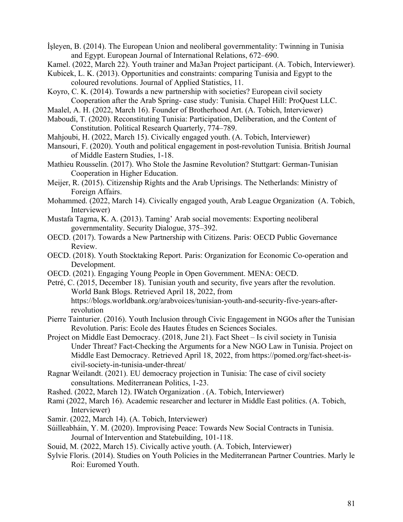İşleyen, B. (2014). The European Union and neoliberal governmentality: Twinning in Tunisia and Egypt. European Journal of International Relations, 672–690.

Kamel. (2022, March 22). Youth trainer and Ma3an Project participant. (A. Tobich, Interviewer).

Kubicek, L. K. (2013). Opportunities and constraints: comparing Tunisia and Egypt to the coloured revolutions. Journal of Applied Statistics, 11.

- Koyro, C. K. (2014). Towards a new partnership with societies? European civil society Cooperation after the Arab Spring- case study: Tunisia. Chapel Hill: ProQuest LLC.
- Maalel, A. H. (2022, March 16). Founder of Brotherhood Art. (A. Tobich, Interviewer)
- Maboudi, T. (2020). Reconstituting Tunisia: Participation, Deliberation, and the Content of Constitution. Political Research Quarterly, 774–789.
- Mahjoubi, H. (2022, March 15). Civically engaged youth. (A. Tobich, Interviewer)
- Mansouri, F. (2020). Youth and political engagement in post-revolution Tunisia. British Journal of Middle Eastern Studies, 1-18.
- Mathieu Rousselin. (2017). Who Stole the Jasmine Revolution? Stuttgart: German-Tunisian Cooperation in Higher Education.
- Meijer, R. (2015). Citizenship Rights and the Arab Uprisings. The Netherlands: Ministry of Foreign Affairs.
- Mohammed. (2022, March 14). Civically engaged youth, Arab League Organization (A. Tobich, Interviewer)
- Mustafa Tagma, K. A. (2013). Taming' Arab social movements: Exporting neoliberal governmentality. Security Dialogue, 375–392.
- OECD. (2017). Towards a New Partnership with Citizens. Paris: OECD Public Governance Review.
- OECD. (2018). Youth Stocktaking Report. Paris: Organization for Economic Co-operation and Development.
- OECD. (2021). Engaging Young People in Open Government. MENA: OECD.
- Petré, C. (2015, December 18). Tunisian youth and security, five years after the revolution. World Bank Blogs. Retrieved April 18, 2022, from https://blogs.worldbank.org/arabvoices/tunisian-youth-and-security-five-years-afterrevolution
- Pierre Tainturier. (2016). Youth Inclusion through Civic Engagement in NGOs after the Tunisian Revolution. Paris: Ecole des Hautes Études en Sciences Sociales.
- Project on Middle East Democracy. (2018, June 21). Fact Sheet Is civil society in Tunisia Under Threat? Fact-Checking the Arguments for a New NGO Law in Tunisia. Project on Middle East Democracy. Retrieved April 18, 2022, from https://pomed.org/fact-sheet-iscivil-society-in-tunisia-under-threat/
- Ragnar Weilandt. (2021). EU democracy projection in Tunisia: The case of civil society consultations. Mediterranean Politics, 1-23.
- Rashed. (2022, March 12). IWatch Organization . (A. Tobich, Interviewer)
- Rami (2022, March 16). Academic researcher and lecturer in Middle East politics. (A. Tobich, Interviewer)
- Samir. (2022, March 14). (A. Tobich, Interviewer)
- Súilleabháin, Y. M. (2020). Improvising Peace: Towards New Social Contracts in Tunisia. Journal of Intervention and Statebuilding, 101-118.
- Souid, M. (2022, March 15). Civically active youth. (A. Tobich, Interviewer)
- Sylvie Floris. (2014). Studies on Youth Policies in the Mediterranean Partner Countries. Marly le Roi: Euromed Youth.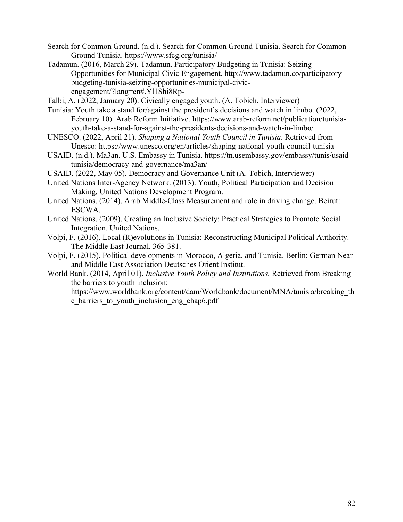- Search for Common Ground. (n.d.). Search for Common Ground Tunisia. Search for Common Ground Tunisia. https://www.sfcg.org/tunisia/
- Tadamun. (2016, March 29). Tadamun. Participatory Budgeting in Tunisia: Seizing Opportunities for Municipal Civic Engagement. http://www.tadamun.co/participatorybudgeting-tunisia-seizing-opportunities-municipal-civicengagement/?lang=en#.Yl1Shi8Rp-

Talbi, A. (2022, January 20). Civically engaged youth. (A. Tobich, Interviewer)

- Tunisia: Youth take a stand for/against the president's decisions and watch in limbo. (2022, February 10). Arab Reform Initiative. https://www.arab-reform.net/publication/tunisiayouth-take-a-stand-for-against-the-presidents-decisions-and-watch-in-limbo/
- UNESCO. (2022, April 21). *Shaping a National Youth Council in Tunisia*. Retrieved from Unesco: https://www.unesco.org/en/articles/shaping-national-youth-council-tunisia
- USAID. (n.d.). Ma3an. U.S. Embassy in Tunisia. https://tn.usembassy.gov/embassy/tunis/usaidtunisia/democracy-and-governance/ma3an/
- USAID. (2022, May 05). Democracy and Governance Unit (A. Tobich, Interviewer)
- United Nations Inter-Agency Network. (2013). Youth, Political Participation and Decision Making. United Nations Development Program.
- United Nations. (2014). Arab Middle-Class Measurement and role in driving change. Beirut: ESCWA.
- United Nations. (2009). Creating an Inclusive Society: Practical Strategies to Promote Social Integration. United Nations.
- Volpi, F. (2016). Local (R)evolutions in Tunisia: Reconstructing Municipal Political Authority. The Middle East Journal, 365-381.
- Volpi, F. (2015). Political developments in Morocco, Algeria, and Tunisia. Berlin: German Near and Middle East Association Deutsches Orient Institut.
- World Bank. (2014, April 01). *Inclusive Youth Policy and Institutions.* Retrieved from Breaking the barriers to youth inclusion:

https://www.worldbank.org/content/dam/Worldbank/document/MNA/tunisia/breaking\_th e barriers to youth inclusion eng chap6.pdf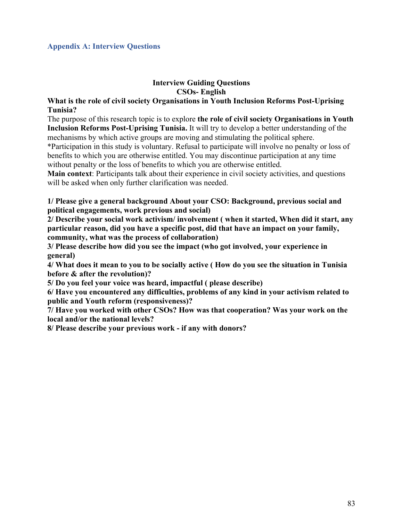## **Appendix A: Interview Questions**

## **Interview Guiding Questions CSOs- English**

## **What is the role of civil society Organisations in Youth Inclusion Reforms Post-Uprising Tunisia?**

The purpose of this research topic is to explore **the role of civil society Organisations in Youth Inclusion Reforms Post-Uprising Tunisia.** It will try to develop a better understanding of the mechanisms by which active groups are moving and stimulating the political sphere.

\*Participation in this study is voluntary. Refusal to participate will involve no penalty or loss of benefits to which you are otherwise entitled. You may discontinue participation at any time without penalty or the loss of benefits to which you are otherwise entitled.

**Main context**: Participants talk about their experience in civil society activities, and questions will be asked when only further clarification was needed.

**1/ Please give a general background About your CSO: Background, previous social and political engagements, work previous and social)**

**2/ Describe your social work activism/ involvement ( when it started, When did it start, any particular reason, did you have a specific post, did that have an impact on your family, community, what was the process of collaboration)**

**3/ Please describe how did you see the impact (who got involved, your experience in general)**

**4/ What does it mean to you to be socially active ( How do you see the situation in Tunisia before & after the revolution)?**

**5/ Do you feel your voice was heard, impactful ( please describe)**

**6/ Have you encountered any difficulties, problems of any kind in your activism related to public and Youth reform (responsiveness)?**

**7/ Have you worked with other CSOs? How was that cooperation? Was your work on the local and/or the national levels?**

**8/ Please describe your previous work - if any with donors?**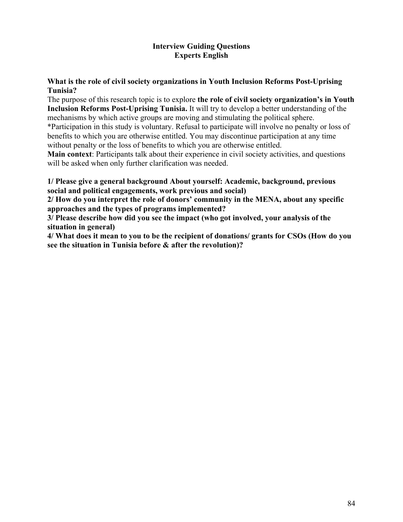# **Interview Guiding Questions Experts English**

# **What is the role of civil society organizations in Youth Inclusion Reforms Post-Uprising Tunisia?**

The purpose of this research topic is to explore **the role of civil society organization's in Youth Inclusion Reforms Post-Uprising Tunisia.** It will try to develop a better understanding of the mechanisms by which active groups are moving and stimulating the political sphere. \*Participation in this study is voluntary. Refusal to participate will involve no penalty or loss of

benefits to which you are otherwise entitled. You may discontinue participation at any time without penalty or the loss of benefits to which you are otherwise entitled.

**Main context**: Participants talk about their experience in civil society activities, and questions will be asked when only further clarification was needed.

**1/ Please give a general background About yourself: Academic, background, previous social and political engagements, work previous and social)**

**2/ How do you interpret the role of donors' community in the MENA, about any specific approaches and the types of programs implemented?**

**3/ Please describe how did you see the impact (who got involved, your analysis of the situation in general)**

**4/ What does it mean to you to be the recipient of donations/ grants for CSOs (How do you see the situation in Tunisia before & after the revolution)?**